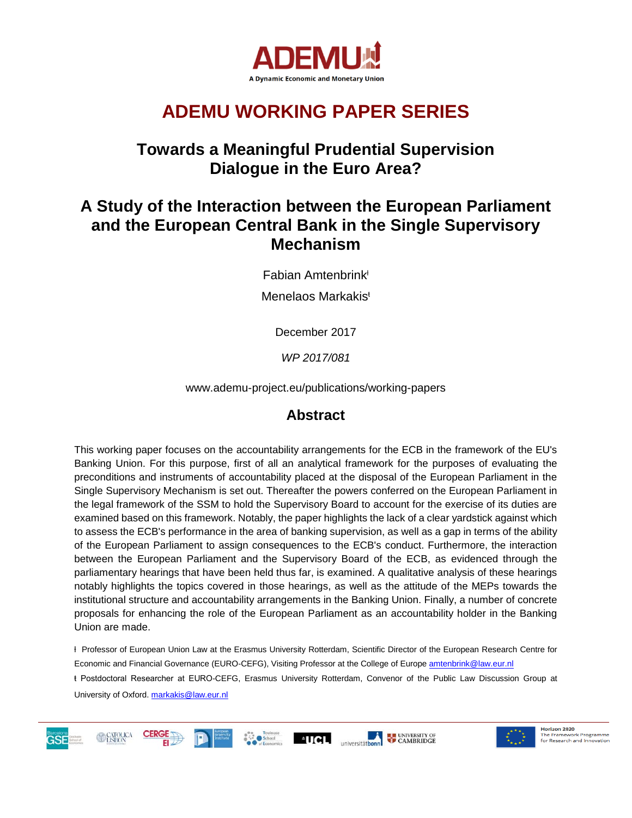

# **ADEMU WORKING PAPER SERIES**

# **Towards a Meaningful Prudential Supervision Dialogue in the Euro Area?**

## **A Study of the Interaction between the European Parliament and the European Central Bank in the Single Supervisory Mechanism**

Fabian Amtenbrink<sup>ƚ</sup>

Menelaos Markakis<sup>t</sup>

December 2017

*WP 2017/081*

www.ademu-project.eu/publications/working-papers

### **Abstract**

This working paper focuses on the accountability arrangements for the ECB in the framework of the EU's Banking Union. For this purpose, first of all an analytical framework for the purposes of evaluating the preconditions and instruments of accountability placed at the disposal of the European Parliament in the Single Supervisory Mechanism is set out. Thereafter the powers conferred on the European Parliament in the legal framework of the SSM to hold the Supervisory Board to account for the exercise of its duties are examined based on this framework. Notably, the paper highlights the lack of a clear yardstick against which to assess the ECB's performance in the area of banking supervision, as well as a gap in terms of the ability of the European Parliament to assign consequences to the ECB's conduct. Furthermore, the interaction between the European Parliament and the Supervisory Board of the ECB, as evidenced through the parliamentary hearings that have been held thus far, is examined. A qualitative analysis of these hearings notably highlights the topics covered in those hearings, as well as the attitude of the MEPs towards the institutional structure and accountability arrangements in the Banking Union. Finally, a number of concrete proposals for enhancing the role of the European Parliament as an accountability holder in the Banking Union are made.

ƚ Professor of European Union Law at the Erasmus University Rotterdam, Scientific Director of the European Research Centre for Economic and Financial Governance (EURO-CEFG), Visiting Professor at the College of Europ[e amtenbrink@law.eur.nl](mailto:amtenbrink@law.eur.nl)

ŧ Postdoctoral Researcher at EURO-CEFG, Erasmus University Rotterdam, Convenor of the Public Law Discussion Group at University of Oxford[. markakis@law.eur.nl](mailto:markakis@law.eur.nl)





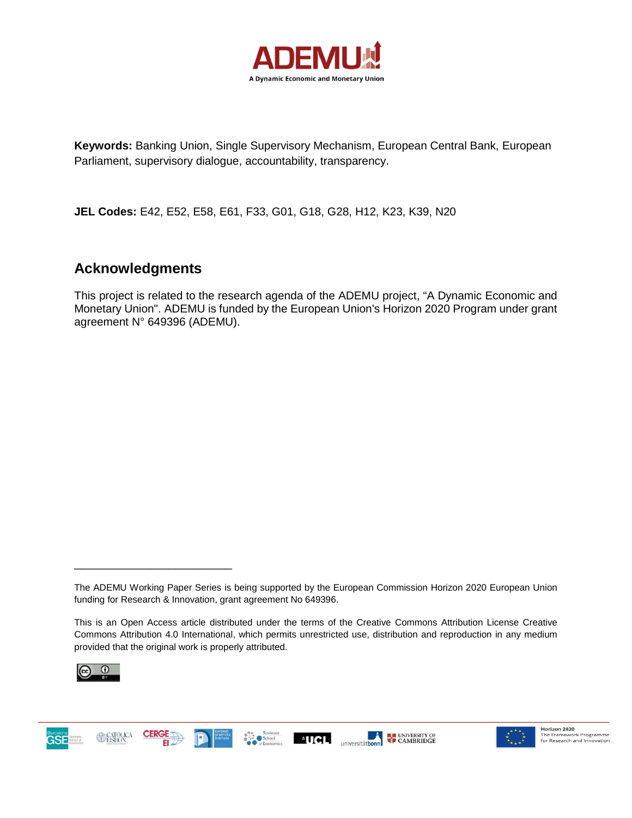

**Keywords:** Banking Union, Single Supervisory Mechanism, European Central Bank, European Parliament, supervisory dialogue, accountability, transparency.

**JEL Codes:** E42, E52, E58, E61, F33, G01, G18, G28, H12, K23, K39, N20

### **Acknowledgments**

This project is related to the research agenda of the ADEMU project, "A Dynamic Economic and Monetary Union". ADEMU is funded by the European Union's Horizon 2020 Program under grant agreement N° 649396 (ADEMU).

This is an Open Access article distributed under the terms of the Creative Commons Attribution License Creative Commons Attribution 4.0 International, which permits unrestricted use, distribution and reproduction in any medium provided that the original work is properly attributed.





\_\_\_\_\_\_\_\_\_\_\_\_\_\_\_\_\_\_\_\_\_\_\_\_\_





The ADEMU Working Paper Series is being supported by the European Commission Horizon 2020 European Union funding for Research & Innovation, grant agreement No 649396.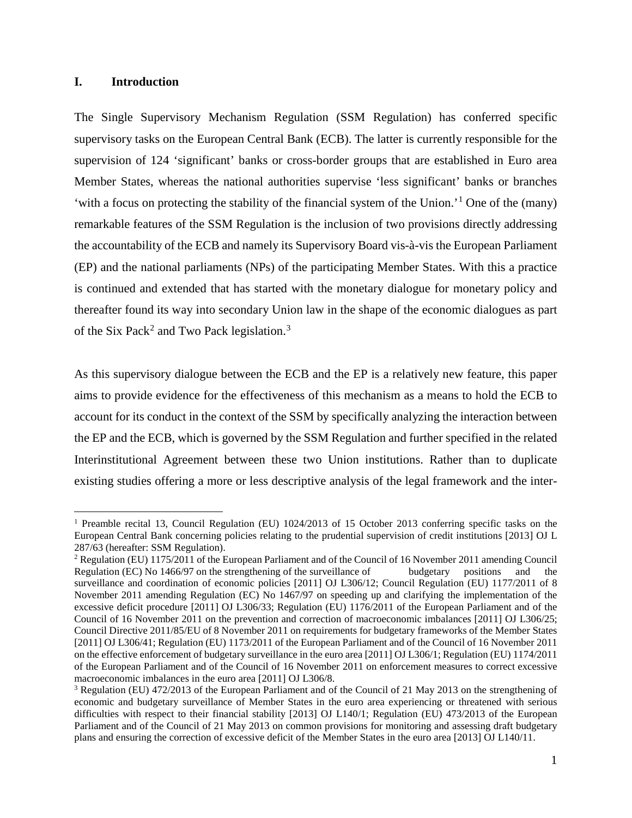#### **I. Introduction**

The Single Supervisory Mechanism Regulation (SSM Regulation) has conferred specific supervisory tasks on the European Central Bank (ECB). The latter is currently responsible for the supervision of 124 'significant' banks or cross-border groups that are established in Euro area Member States, whereas the national authorities supervise 'less significant' banks or branches 'with a focus on protecting the stability of the financial system of the Union.'<sup>[1](#page-2-0)</sup> One of the (many) remarkable features of the SSM Regulation is the inclusion of two provisions directly addressing the accountability of the ECB and namely its Supervisory Board vis-à-vis the European Parliament (EP) and the national parliaments (NPs) of the participating Member States. With this a practice is continued and extended that has started with the monetary dialogue for monetary policy and thereafter found its way into secondary Union law in the shape of the economic dialogues as part of the Six Pack<sup>[2](#page-2-1)</sup> and Two Pack legislation.<sup>[3](#page-2-2)</sup>

As this supervisory dialogue between the ECB and the EP is a relatively new feature, this paper aims to provide evidence for the effectiveness of this mechanism as a means to hold the ECB to account for its conduct in the context of the SSM by specifically analyzing the interaction between the EP and the ECB, which is governed by the SSM Regulation and further specified in the related Interinstitutional Agreement between these two Union institutions. Rather than to duplicate existing studies offering a more or less descriptive analysis of the legal framework and the inter-

<span id="page-2-0"></span> <sup>1</sup> Preamble recital 13, Council Regulation (EU) 1024/2013 of 15 October 2013 conferring specific tasks on the European Central Bank concerning policies relating to the prudential supervision of credit institutions [2013] OJ L 287/63 (hereafter: SSM Regulation).

<span id="page-2-1"></span><sup>2</sup> Regulation (EU) 1175/2011 of the European Parliament and of the Council of 16 November 2011 amending Council Regulation (EC) No 1466/97 on the strengthening of the surveillance of budgetary positions and the surveillance and coordination of economic policies [2011] OJ L306/12; Council Regulation (EU) 1177/2011 of 8 November 2011 amending Regulation (EC) No 1467/97 on speeding up and clarifying the implementation of the excessive deficit procedure [2011] OJ L306/33; Regulation (EU) 1176/2011 of the European Parliament and of the Council of 16 November 2011 on the prevention and correction of macroeconomic imbalances [2011] OJ L306/25; Council Directive 2011/85/EU of 8 November 2011 on requirements for budgetary frameworks of the Member States [2011] OJ L306/41; Regulation (EU) 1173/2011 of the European Parliament and of the Council of 16 November 2011 on the effective enforcement of budgetary surveillance in the euro area [2011] OJ L306/1; Regulation (EU) 1174/2011 of the European Parliament and of the Council of 16 November 2011 on enforcement measures to correct excessive macroeconomic imbalances in the euro area [2011] OJ L306/8.

<span id="page-2-2"></span><sup>&</sup>lt;sup>3</sup> Regulation (EU) 472/2013 of the European Parliament and of the Council of 21 May 2013 on the strengthening of economic and budgetary surveillance of Member States in the euro area experiencing or threatened with serious difficulties with respect to their financial stability [2013] OJ L140/1; Regulation (EU) 473/2013 of the European Parliament and of the Council of 21 May 2013 on common provisions for monitoring and assessing draft budgetary plans and ensuring the correction of excessive deficit of the Member States in the euro area [2013] OJ L140/11.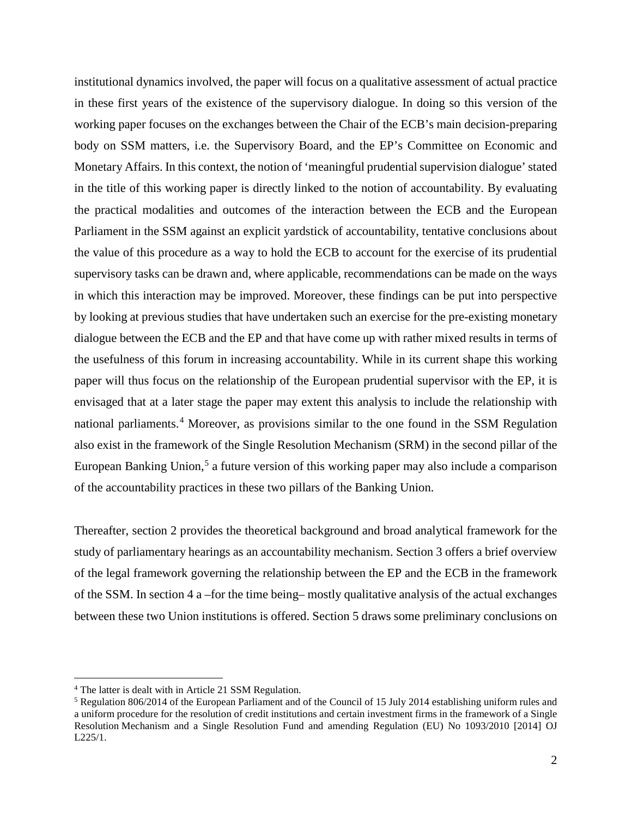institutional dynamics involved, the paper will focus on a qualitative assessment of actual practice in these first years of the existence of the supervisory dialogue. In doing so this version of the working paper focuses on the exchanges between the Chair of the ECB's main decision-preparing body on SSM matters, i.e. the Supervisory Board, and the EP's Committee on Economic and Monetary Affairs. In this context, the notion of 'meaningful prudential supervision dialogue' stated in the title of this working paper is directly linked to the notion of accountability. By evaluating the practical modalities and outcomes of the interaction between the ECB and the European Parliament in the SSM against an explicit yardstick of accountability, tentative conclusions about the value of this procedure as a way to hold the ECB to account for the exercise of its prudential supervisory tasks can be drawn and, where applicable, recommendations can be made on the ways in which this interaction may be improved. Moreover, these findings can be put into perspective by looking at previous studies that have undertaken such an exercise for the pre-existing monetary dialogue between the ECB and the EP and that have come up with rather mixed results in terms of the usefulness of this forum in increasing accountability. While in its current shape this working paper will thus focus on the relationship of the European prudential supervisor with the EP, it is envisaged that at a later stage the paper may extent this analysis to include the relationship with national parliaments.<sup>[4](#page-3-0)</sup> Moreover, as provisions similar to the one found in the SSM Regulation also exist in the framework of the Single Resolution Mechanism (SRM) in the second pillar of the European Banking Union, [5](#page-3-1) a future version of this working paper may also include a comparison of the accountability practices in these two pillars of the Banking Union.

Thereafter, section 2 provides the theoretical background and broad analytical framework for the study of parliamentary hearings as an accountability mechanism. Section 3 offers a brief overview of the legal framework governing the relationship between the EP and the ECB in the framework of the SSM. In section 4 a –for the time being– mostly qualitative analysis of the actual exchanges between these two Union institutions is offered. Section 5 draws some preliminary conclusions on

<span id="page-3-0"></span> <sup>4</sup> The latter is dealt with in Article 21 SSM Regulation.

<span id="page-3-1"></span><sup>5</sup> Regulation 806/2014 of the European Parliament and of the Council of 15 July 2014 establishing uniform rules and a uniform procedure for the resolution of credit institutions and certain investment firms in the framework of a Single Resolution Mechanism and a Single Resolution Fund and amending Regulation (EU) No 1093/2010 [2014] OJ L225/1.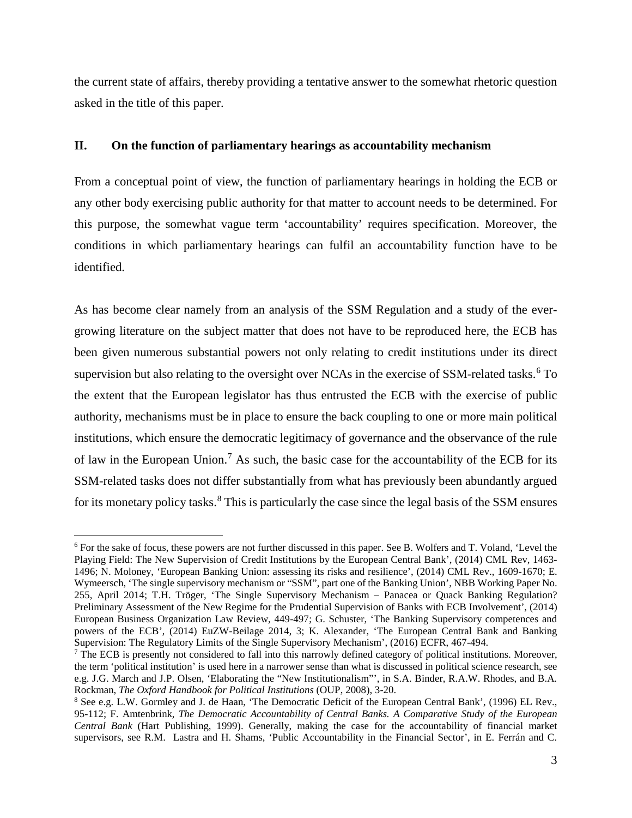the current state of affairs, thereby providing a tentative answer to the somewhat rhetoric question asked in the title of this paper.

#### **II. On the function of parliamentary hearings as accountability mechanism**

From a conceptual point of view, the function of parliamentary hearings in holding the ECB or any other body exercising public authority for that matter to account needs to be determined. For this purpose, the somewhat vague term 'accountability' requires specification. Moreover, the conditions in which parliamentary hearings can fulfil an accountability function have to be identified.

As has become clear namely from an analysis of the SSM Regulation and a study of the evergrowing literature on the subject matter that does not have to be reproduced here, the ECB has been given numerous substantial powers not only relating to credit institutions under its direct supervision but also relating to the oversight over NCAs in the exercise of SSM-related tasks.<sup>[6](#page-4-0)</sup> To the extent that the European legislator has thus entrusted the ECB with the exercise of public authority, mechanisms must be in place to ensure the back coupling to one or more main political institutions, which ensure the democratic legitimacy of governance and the observance of the rule of law in the European Union.[7](#page-4-1) As such, the basic case for the accountability of the ECB for its SSM-related tasks does not differ substantially from what has previously been abundantly argued for its monetary policy tasks.<sup>[8](#page-4-2)</sup> This is particularly the case since the legal basis of the SSM ensures

<span id="page-4-3"></span><span id="page-4-0"></span> <sup>6</sup> For the sake of focus, these powers are not further discussed in this paper. See B. Wolfers and T. Voland, 'Level the Playing Field: The New Supervision of Credit Institutions by the European Central Bank', (2014) CML Rev, 1463- 1496; N. Moloney, 'European Banking Union: assessing its risks and resilience', (2014) CML Rev., 1609-1670; E. Wymeersch, 'The single supervisory mechanism or "SSM", part one of the Banking Union', NBB Working Paper No. 255, April 2014; T.H. Tröger, 'The Single Supervisory Mechanism – Panacea or Quack Banking Regulation? Preliminary Assessment of the New Regime for the Prudential Supervision of Banks with ECB Involvement', (2014) European Business Organization Law Review, 449-497; G. Schuster, 'The Banking Supervisory competences and powers of the ECB', (2014) EuZW-Beilage 2014, 3; K. Alexander, 'The European Central Bank and Banking Supervision: The Regulatory Limits of the Single Supervisory Mechanism', (2016) ECFR, 467-494.

<span id="page-4-1"></span> $<sup>7</sup>$  The ECB is presently not considered to fall into this narrowly defined category of political institutions. Moreover,</sup> the term 'political institution' is used here in a narrower sense than what is discussed in political science research, see e.g. J.G. March and J.P. Olsen, 'Elaborating the "New Institutionalism"', in S.A. Binder, R.A.W. Rhodes, and B.A.<br>Rockman, The Oxford Handbook for Political Institutions (OUP, 2008), 3-20.

<span id="page-4-2"></span><sup>&</sup>lt;sup>8</sup> See e.g. L.W. Gormley and J. de Haan, 'The Democratic Deficit of the European Central Bank', (1996) EL Rev., 95-112; F. Amtenbrink, *The Democratic Accountability of Central Banks. A Comparative Study of the European Central Bank* (Hart Publishing, 1999). Generally, making the case for the accountability of financial market supervisors, see R.M. Lastra and H. Shams, 'Public Accountability in the Financial Sector', in E. Ferrán and C.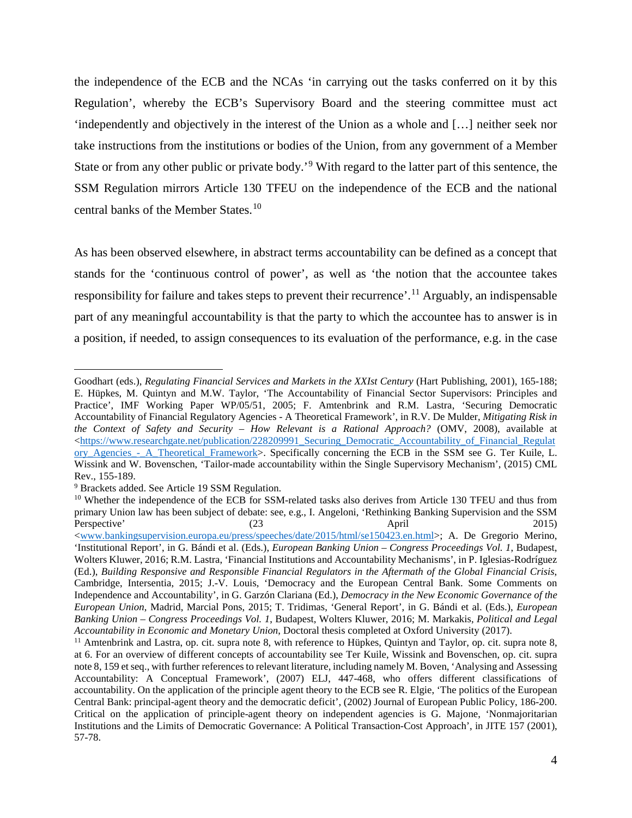the independence of the ECB and the NCAs 'in carrying out the tasks conferred on it by this Regulation', whereby the ECB's Supervisory Board and the steering committee must act 'independently and objectively in the interest of the Union as a whole and […] neither seek nor take instructions from the institutions or bodies of the Union, from any government of a Member State or from any other public or private body.'[9](#page-5-0) With regard to the latter part of this sentence, the SSM Regulation mirrors Article 130 TFEU on the independence of the ECB and the national central banks of the Member States. [10](#page-5-1)

<span id="page-5-3"></span>As has been observed elsewhere, in abstract terms accountability can be defined as a concept that stands for the 'continuous control of power', as well as 'the notion that the accountee takes responsibility for failure and takes steps to prevent their recurrence'.[11](#page-5-2) Arguably, an indispensable part of any meaningful accountability is that the party to which the accountee has to answer is in a position, if needed, to assign consequences to its evaluation of the performance, e.g. in the case

 $\overline{a}$ 

Goodhart (eds.), *Regulating Financial Services and Markets in the XXIst Century* (Hart Publishing, 2001), 165-188; E. Hüpkes, M. Quintyn and M.W. Taylor, 'The Accountability of Financial Sector Supervisors: Principles and Practice', IMF Working Paper WP/05/51, 2005; F. Amtenbrink and R.M. Lastra, 'Securing Democratic Accountability of Financial Regulatory Agencies - A Theoretical Framework', in R.V. De Mulder, *Mitigating Risk in the Context of Safety and Security – How Relevant is a Rational Approach?* (OMV, 2008), available at  $\lt$ https://www.researchgate.net/publication/228209991\_Securing\_Democratic\_Accountability\_of\_Financial\_Regulat [ory\\_Agencies\\_-\\_A\\_Theoretical\\_Framework>](https://www.researchgate.net/publication/228209991_Securing_Democratic_Accountability_of_Financial_Regulatory_Agencies_-_A_Theoretical_Framework). Specifically concerning the ECB in the SSM see G. Ter Kuile, L. Wissink and W. Bovenschen, 'Tailor-made accountability within the Single Supervisory Mechanism', (2015) CML Rev., 155-189.

<span id="page-5-0"></span><sup>9</sup> Brackets added. See Article 19 SSM Regulation.

<span id="page-5-1"></span><sup>&</sup>lt;sup>10</sup> Whether the independence of the ECB for SSM-related tasks also derives from Article 130 TFEU and thus from primary Union law has been subject of debate: see, e.g., I. Angeloni, 'Rethinking Banking Supervision and the SSM<br>
(23 April 2015) Perspective' (23 April 2015) <www.bankingsupervision.europa.eu/press/speeches/date/2015/html/se150423.en.html>; A. De Gregorio Merino, 'Institutional Report', in G. Bándi et al. (Eds.), *European Banking Union – Congress Proceedings Vol. 1*, Budapest, Wolters Kluwer, 2016; R.M. Lastra, 'Financial Institutions and Accountability Mechanisms', in P. Iglesias-Rodríguez (Ed.), *Building Responsive and Responsible Financial Regulators in the Aftermath of the Global Financial Crisis*, Cambridge, Intersentia, 2015; J.-V. Louis, 'Democracy and the European Central Bank. Some Comments on Independence and Accountability', in G. Garzón Clariana (Ed.), *Democracy in the New Economic Governance of the European Union*, Madrid, Marcial Pons, 2015; T. Tridimas, 'General Report', in G. Bándi et al. (Eds.), *European Banking Union – Congress Proceedings Vol. 1*, Budapest, Wolters Kluwer, 2016; M. Markakis, *Political and Legal Accountability in Economic and Monetary Union*, Doctoral thesis completed at Oxford University (2017).

<span id="page-5-2"></span><sup>&</sup>lt;sup>11</sup> Amtenbrink and Lastra, op. cit. supra note [8,](#page-4-3) with reference to Hüpkes, Quintyn and Taylor, op. cit. supra note 8, at 6. For an overview of different concepts of accountability see Ter Kuile, Wissink and Bovenschen, op. cit. supra not[e 8,](#page-4-3) 159 et seq., with further references to relevant literature, including namely M. Boven, 'Analysing and Assessing Accountability: A Conceptual Framework', (2007) ELJ, 447-468, who offers different classifications of accountability. On the application of the principle agent theory to the ECB see R. Elgie, 'The politics of the European Central Bank: principal-agent theory and the democratic deficit', (2002) Journal of European Public Policy, 186-200. Critical on the application of principle-agent theory on independent agencies is G. Majone, 'Nonmajoritarian Institutions and the Limits of Democratic Governance: A Political Transaction-Cost Approach', in JITE 157 (2001), 57-78.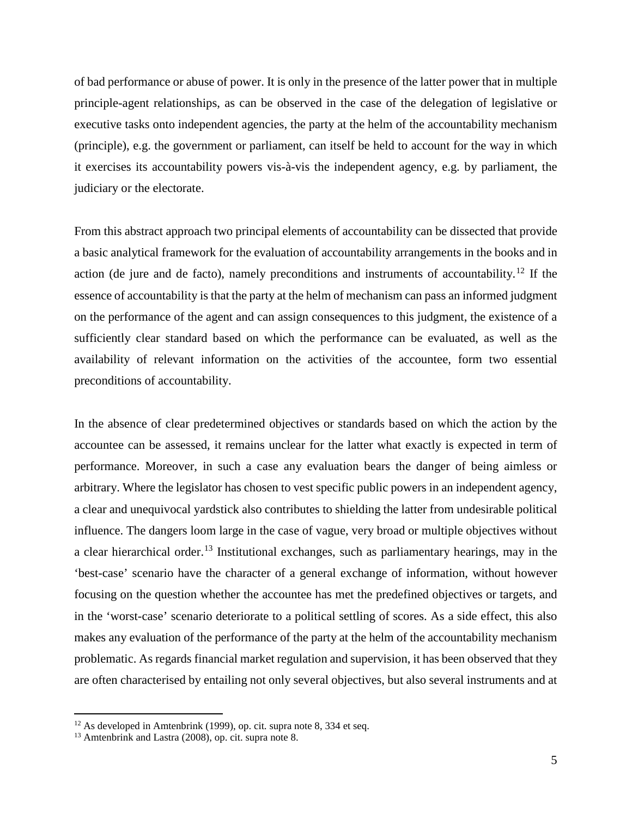of bad performance or abuse of power. It is only in the presence of the latter power that in multiple principle-agent relationships, as can be observed in the case of the delegation of legislative or executive tasks onto independent agencies, the party at the helm of the accountability mechanism (principle), e.g. the government or parliament, can itself be held to account for the way in which it exercises its accountability powers vis-à-vis the independent agency, e.g. by parliament, the judiciary or the electorate.

From this abstract approach two principal elements of accountability can be dissected that provide a basic analytical framework for the evaluation of accountability arrangements in the books and in action (de jure and de facto), namely preconditions and instruments of accountability.<sup>[12](#page-6-0)</sup> If the essence of accountability is that the party at the helm of mechanism can pass an informed judgment on the performance of the agent and can assign consequences to this judgment, the existence of a sufficiently clear standard based on which the performance can be evaluated, as well as the availability of relevant information on the activities of the accountee, form two essential preconditions of accountability.

In the absence of clear predetermined objectives or standards based on which the action by the accountee can be assessed, it remains unclear for the latter what exactly is expected in term of performance. Moreover, in such a case any evaluation bears the danger of being aimless or arbitrary. Where the legislator has chosen to vest specific public powers in an independent agency, a clear and unequivocal yardstick also contributes to shielding the latter from undesirable political influence. The dangers loom large in the case of vague, very broad or multiple objectives without a clear hierarchical order.<sup>[13](#page-6-1)</sup> Institutional exchanges, such as parliamentary hearings, may in the 'best-case' scenario have the character of a general exchange of information, without however focusing on the question whether the accountee has met the predefined objectives or targets, and in the 'worst-case' scenario deteriorate to a political settling of scores. As a side effect, this also makes any evaluation of the performance of the party at the helm of the accountability mechanism problematic. As regards financial market regulation and supervision, it has been observed that they are often characterised by entailing not only several objectives, but also several instruments and at

<span id="page-6-0"></span> $12$  As developed in Amtenbrink (1999), op. cit. supra note [8,](#page-4-3) 334 et seq.

<span id="page-6-1"></span><sup>13</sup> Amtenbrink and Lastra (2008), op. cit. supra note [8.](#page-4-3)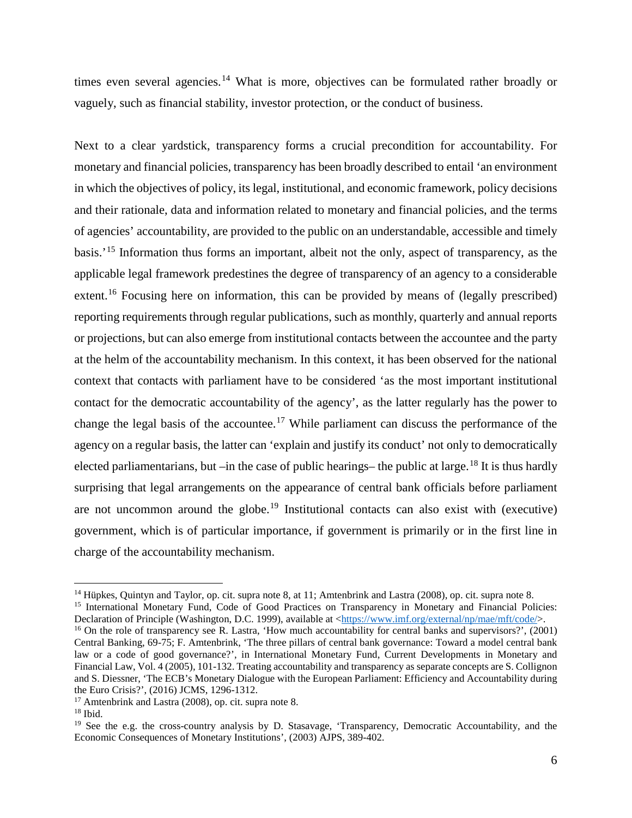times even several agencies.<sup>[14](#page-7-0)</sup> What is more, objectives can be formulated rather broadly or vaguely, such as financial stability, investor protection, or the conduct of business.

Next to a clear yardstick, transparency forms a crucial precondition for accountability. For monetary and financial policies, transparency has been broadly described to entail 'an environment in which the objectives of policy, its legal, institutional, and economic framework, policy decisions and their rationale, data and information related to monetary and financial policies, and the terms of agencies' accountability, are provided to the public on an understandable, accessible and timely basis.'<sup>[15](#page-7-1)</sup> Information thus forms an important, albeit not the only, aspect of transparency, as the applicable legal framework predestines the degree of transparency of an agency to a considerable extent.<sup>[16](#page-7-2)</sup> Focusing here on information, this can be provided by means of (legally prescribed) reporting requirements through regular publications, such as monthly, quarterly and annual reports or projections, but can also emerge from institutional contacts between the accountee and the party at the helm of the accountability mechanism. In this context, it has been observed for the national context that contacts with parliament have to be considered 'as the most important institutional contact for the democratic accountability of the agency', as the latter regularly has the power to change the legal basis of the accountee.<sup>[17](#page-7-3)</sup> While parliament can discuss the performance of the agency on a regular basis, the latter can 'explain and justify its conduct' not only to democratically elected parliamentarians, but –in the case of public hearings– the public at large.<sup>[18](#page-7-4)</sup> It is thus hardly surprising that legal arrangements on the appearance of central bank officials before parliament are not uncommon around the globe.<sup>[19](#page-7-5)</sup> Institutional contacts can also exist with (executive) government, which is of particular importance, if government is primarily or in the first line in charge of the accountability mechanism.

<span id="page-7-0"></span><sup>&</sup>lt;sup>14</sup> Hüpkes, Quintyn and Taylor, op. cit. supra note [8,](#page-4-3) at 11; Amtenbrink and Lastra (2008), op. cit. supra note [8.](#page-4-3)

<span id="page-7-1"></span><sup>15</sup> International Monetary Fund, Code of Good Practices on Transparency in Monetary and Financial Policies: Declaration of Principle (Washington, D.C. 1999), available at [<https://www.imf.org/external/np/mae/mft/code/>](https://www.imf.org/external/np/mae/mft/code/).

<span id="page-7-2"></span><sup>&</sup>lt;sup>16</sup> On the role of transparency see R. Lastra, 'How much accountability for central banks and supervisors?', (2001) Central Banking, 69-75; F. Amtenbrink, 'The three pillars of central bank governance: Toward a model central bank law or a code of good governance?', in International Monetary Fund, Current Developments in Monetary and Financial Law, Vol. 4 (2005)*,* 101-132. Treating accountability and transparency as separate concepts are S. Collignon and S. Diessner, 'The ECB's Monetary Dialogue with the European Parliament: Efficiency and Accountability during the Euro Crisis?', (2016) JCMS, 1296-1312.

<span id="page-7-3"></span> $17$  Amtenbrink and Lastra (2008), op. cit. supra note [8.](#page-4-3)

<span id="page-7-4"></span><sup>18</sup> Ibid.

<span id="page-7-5"></span><sup>&</sup>lt;sup>19</sup> See the e.g. the cross-country analysis by D. Stasavage, 'Transparency, Democratic Accountability, and the Economic Consequences of Monetary Institutions', (2003) AJPS, 389-402.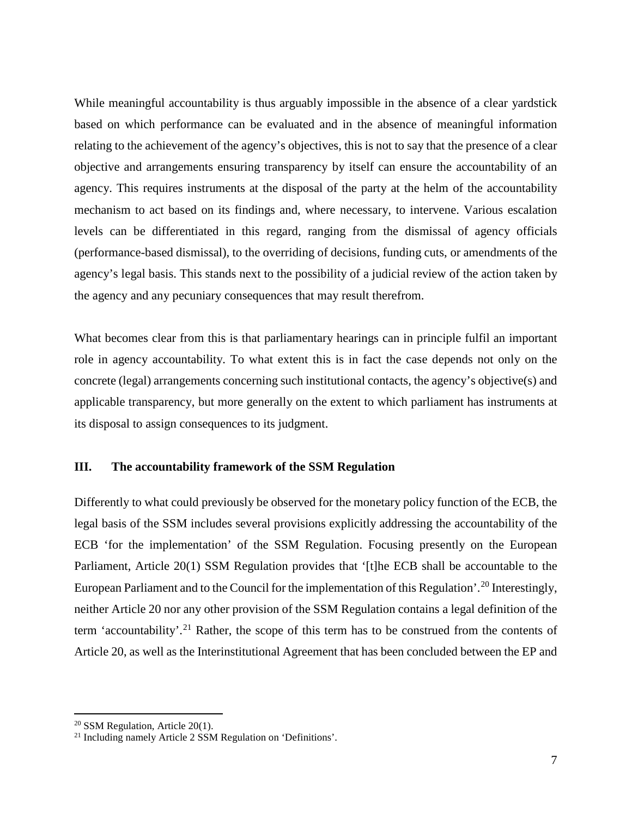While meaningful accountability is thus arguably impossible in the absence of a clear yardstick based on which performance can be evaluated and in the absence of meaningful information relating to the achievement of the agency's objectives, this is not to say that the presence of a clear objective and arrangements ensuring transparency by itself can ensure the accountability of an agency. This requires instruments at the disposal of the party at the helm of the accountability mechanism to act based on its findings and, where necessary, to intervene. Various escalation levels can be differentiated in this regard, ranging from the dismissal of agency officials (performance-based dismissal), to the overriding of decisions, funding cuts, or amendments of the agency's legal basis. This stands next to the possibility of a judicial review of the action taken by the agency and any pecuniary consequences that may result therefrom.

What becomes clear from this is that parliamentary hearings can in principle fulfil an important role in agency accountability. To what extent this is in fact the case depends not only on the concrete (legal) arrangements concerning such institutional contacts, the agency's objective(s) and applicable transparency, but more generally on the extent to which parliament has instruments at its disposal to assign consequences to its judgment.

#### **III. The accountability framework of the SSM Regulation**

Differently to what could previously be observed for the monetary policy function of the ECB, the legal basis of the SSM includes several provisions explicitly addressing the accountability of the ECB 'for the implementation' of the SSM Regulation. Focusing presently on the European Parliament, Article 20(1) SSM Regulation provides that '[t]he ECB shall be accountable to the European Parliament and to the Council for the implementation of this Regulation'.<sup>[20](#page-8-0)</sup> Interestingly, neither Article 20 nor any other provision of the SSM Regulation contains a legal definition of the term 'accountability'.<sup>[21](#page-8-1)</sup> Rather, the scope of this term has to be construed from the contents of Article 20, as well as the Interinstitutional Agreement that has been concluded between the EP and

<span id="page-8-0"></span> $20$  SSM Regulation, Article 20(1).

<span id="page-8-1"></span><sup>21</sup> Including namely Article 2 SSM Regulation on 'Definitions'.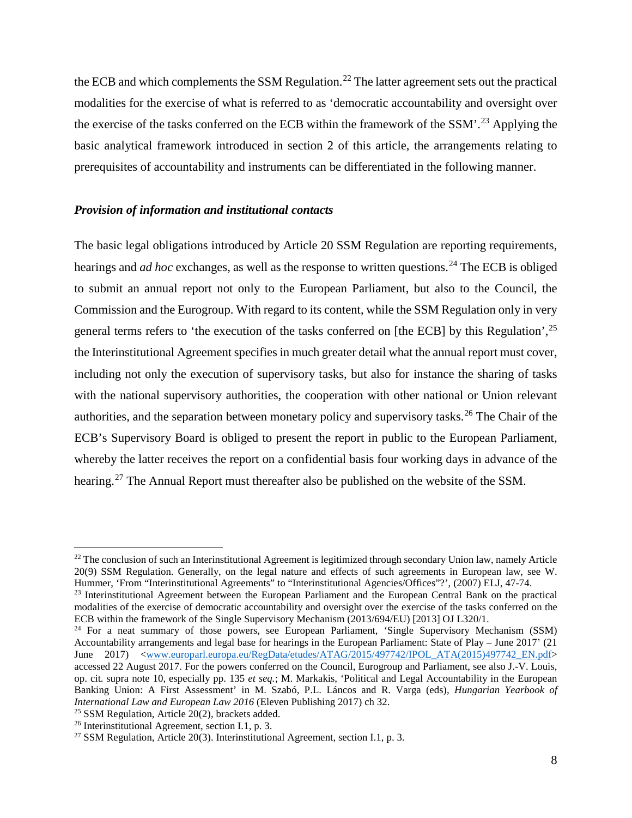the ECB and which complements the SSM Regulation.<sup>[22](#page-9-0)</sup> The latter agreement sets out the practical modalities for the exercise of what is referred to as 'democratic accountability and oversight over the exercise of the tasks conferred on the ECB within the framework of the SSM'.<sup>[23](#page-9-1)</sup> Applying the basic analytical framework introduced in section 2 of this article, the arrangements relating to prerequisites of accountability and instruments can be differentiated in the following manner.

#### *Provision of information and institutional contacts*

The basic legal obligations introduced by Article 20 SSM Regulation are reporting requirements, hearings and *ad hoc* exchanges, as well as the response to written questions.<sup>[24](#page-9-2)</sup> The ECB is obliged to submit an annual report not only to the European Parliament, but also to the Council, the Commission and the Eurogroup. With regard to its content, while the SSM Regulation only in very general terms refers to 'the execution of the tasks conferred on [the ECB] by this Regulation',  $^{25}$  $^{25}$  $^{25}$ the Interinstitutional Agreement specifies in much greater detail what the annual report must cover, including not only the execution of supervisory tasks, but also for instance the sharing of tasks with the national supervisory authorities, the cooperation with other national or Union relevant authorities, and the separation between monetary policy and supervisory tasks.<sup>[26](#page-9-4)</sup> The Chair of the ECB's Supervisory Board is obliged to present the report in public to the European Parliament, whereby the latter receives the report on a confidential basis four working days in advance of the hearing.<sup>[27](#page-9-5)</sup> The Annual Report must thereafter also be published on the website of the SSM.

<span id="page-9-0"></span> $22$  The conclusion of such an Interinstitutional Agreement is legitimized through secondary Union law, namely Article 20(9) SSM Regulation. Generally, on the legal nature and effects of such agreements in European law, see W. Hummer, 'From "Interinstitutional Agreements" to "Interinstitutional Agencies/Offices"?', (2007) ELJ, 47-74.

<span id="page-9-1"></span><sup>&</sup>lt;sup>23</sup> Interinstitutional Agreement between the European Parliament and the European Central Bank on the practical modalities of the exercise of democratic accountability and oversight over the exercise of the tasks conferred on the ECB within the framework of the Single Supervisory Mechanism (2013/694/EU) [2013] OJ L320/1.

<span id="page-9-2"></span><sup>&</sup>lt;sup>24</sup> For a neat summary of those powers, see European Parliament, 'Single Supervisory Mechanism (SSM) Accountability arrangements and legal base for hearings in the European Parliament: State of Play – June 2017' (21 June 2017) <www.europarl.europa.eu/RegData/etudes/ATAG/2015/497742/IPOL\_ATA(2015)497742\_EN.pdf> accessed 22 August 2017. For the powers conferred on the Council, Eurogroup and Parliament, see also J.-V. Louis, op. cit. supra note [10,](#page-5-3) especially pp. 135 *et seq.*; M. Markakis, 'Political and Legal Accountability in the European Banking Union: A First Assessment' in M. Szabó, P.L. Láncos and R. Varga (eds), *Hungarian Yearbook of International Law and European Law 2016* (Eleven Publishing 2017) ch 32.

<span id="page-9-3"></span> $25$  SSM Regulation, Article  $20(2)$ , brackets added.

<span id="page-9-4"></span><sup>26</sup> Interinstitutional Agreement, section I.1, p. 3.

<span id="page-9-5"></span> $27$  SSM Regulation, Article 20(3). Interinstitutional Agreement, section I.1, p. 3.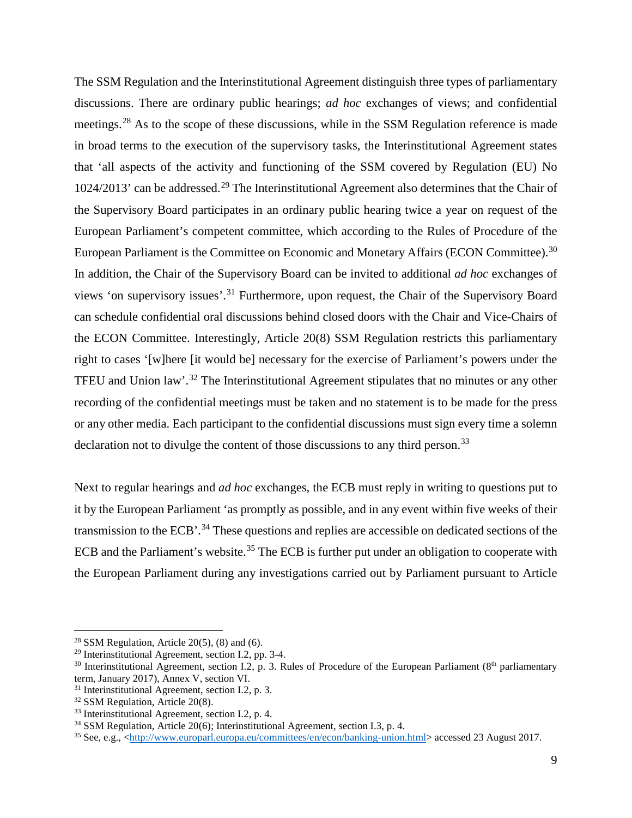The SSM Regulation and the Interinstitutional Agreement distinguish three types of parliamentary discussions. There are ordinary public hearings; *ad hoc* exchanges of views; and confidential meetings.<sup>[28](#page-10-0)</sup> As to the scope of these discussions, while in the SSM Regulation reference is made in broad terms to the execution of the supervisory tasks, the Interinstitutional Agreement states that 'all aspects of the activity and functioning of the SSM covered by Regulation (EU) No 1024/2013' can be addressed. [29](#page-10-1) The Interinstitutional Agreement also determines that the Chair of the Supervisory Board participates in an ordinary public hearing twice a year on request of the European Parliament's competent committee, which according to the Rules of Procedure of the European Parliament is the Committee on Economic and Monetary Affairs (ECON Committee).<sup>[30](#page-10-2)</sup> In addition, the Chair of the Supervisory Board can be invited to additional *ad hoc* exchanges of views 'on supervisory issues'.<sup>[31](#page-10-3)</sup> Furthermore, upon request, the Chair of the Supervisory Board can schedule confidential oral discussions behind closed doors with the Chair and Vice-Chairs of the ECON Committee. Interestingly, Article 20(8) SSM Regulation restricts this parliamentary right to cases '[w]here [it would be] necessary for the exercise of Parliament's powers under the TFEU and Union law'.<sup>[32](#page-10-4)</sup> The Interinstitutional Agreement stipulates that no minutes or any other recording of the confidential meetings must be taken and no statement is to be made for the press or any other media. Each participant to the confidential discussions must sign every time a solemn declaration not to divulge the content of those discussions to any third person.<sup>[33](#page-10-5)</sup>

Next to regular hearings and *ad hoc* exchanges, the ECB must reply in writing to questions put to it by the European Parliament 'as promptly as possible, and in any event within five weeks of their transmission to the ECB'.<sup>[34](#page-10-6)</sup> These questions and replies are accessible on dedicated sections of the ECB and the Parliament's website.<sup>[35](#page-10-7)</sup> The ECB is further put under an obligation to cooperate with the European Parliament during any investigations carried out by Parliament pursuant to Article

<span id="page-10-0"></span><sup>&</sup>lt;sup>28</sup> SSM Regulation, Article  $20(5)$ , (8) and (6).

<span id="page-10-1"></span><sup>29</sup> Interinstitutional Agreement, section I.2, pp. 3-4.

<span id="page-10-2"></span> $30$  Interinstitutional Agreement, section I.2, p. 3. Rules of Procedure of the European Parliament (8<sup>th</sup> parliamentary term, January 2017), Annex V, section VI.

<span id="page-10-3"></span><sup>31</sup> Interinstitutional Agreement, section I.2, p. 3.

<span id="page-10-4"></span><sup>32</sup> SSM Regulation, Article 20(8).

<span id="page-10-5"></span><sup>33</sup> Interinstitutional Agreement, section I.2, p. 4.

<span id="page-10-6"></span><sup>&</sup>lt;sup>34</sup> SSM Regulation, Article 20(6); Interinstitutional Agreement, section I.3, p. 4.

<span id="page-10-7"></span><sup>35</sup> See, e.g., [<http://www.europarl.europa.eu/committees/en/econ/banking-union.html>](http://www.europarl.europa.eu/committees/en/econ/banking-union.html) accessed 23 August 2017.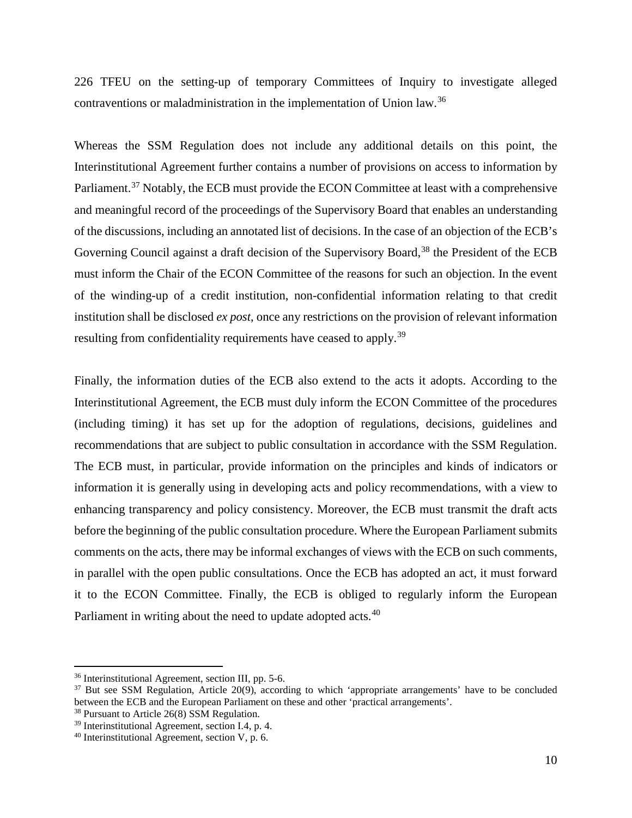226 TFEU on the setting-up of temporary Committees of Inquiry to investigate alleged contraventions or maladministration in the implementation of Union law.<sup>[36](#page-11-0)</sup>

Whereas the SSM Regulation does not include any additional details on this point, the Interinstitutional Agreement further contains a number of provisions on access to information by Parliament.<sup>[37](#page-11-1)</sup> Notably, the ECB must provide the ECON Committee at least with a comprehensive and meaningful record of the proceedings of the Supervisory Board that enables an understanding of the discussions, including an annotated list of decisions. In the case of an objection of the ECB's Governing Council against a draft decision of the Supervisory Board,<sup>[38](#page-11-2)</sup> the President of the ECB must inform the Chair of the ECON Committee of the reasons for such an objection. In the event of the winding-up of a credit institution, non-confidential information relating to that credit institution shall be disclosed *ex post*, once any restrictions on the provision of relevant information resulting from confidentiality requirements have ceased to apply.<sup>[39](#page-11-3)</sup>

Finally, the information duties of the ECB also extend to the acts it adopts. According to the Interinstitutional Agreement, the ECB must duly inform the ECON Committee of the procedures (including timing) it has set up for the adoption of regulations, decisions, guidelines and recommendations that are subject to public consultation in accordance with the SSM Regulation. The ECB must, in particular, provide information on the principles and kinds of indicators or information it is generally using in developing acts and policy recommendations, with a view to enhancing transparency and policy consistency. Moreover, the ECB must transmit the draft acts before the beginning of the public consultation procedure. Where the European Parliament submits comments on the acts, there may be informal exchanges of views with the ECB on such comments, in parallel with the open public consultations. Once the ECB has adopted an act, it must forward it to the ECON Committee. Finally, the ECB is obliged to regularly inform the European Parliament in writing about the need to update adopted acts.<sup>[40](#page-11-4)</sup>

<span id="page-11-0"></span> <sup>36</sup> Interinstitutional Agreement, section III, pp. 5-6.

<span id="page-11-1"></span><sup>37</sup> But see SSM Regulation, Article 20(9), according to which 'appropriate arrangements' have to be concluded between the ECB and the European Parliament on these and other 'practical arrangements'.

<span id="page-11-2"></span><sup>&</sup>lt;sup>38</sup> Pursuant to Article 26(8) SSM Regulation.

<span id="page-11-3"></span><sup>39</sup> Interinstitutional Agreement, section I.4, p. 4.

<span id="page-11-4"></span><sup>40</sup> Interinstitutional Agreement, section V, p. 6.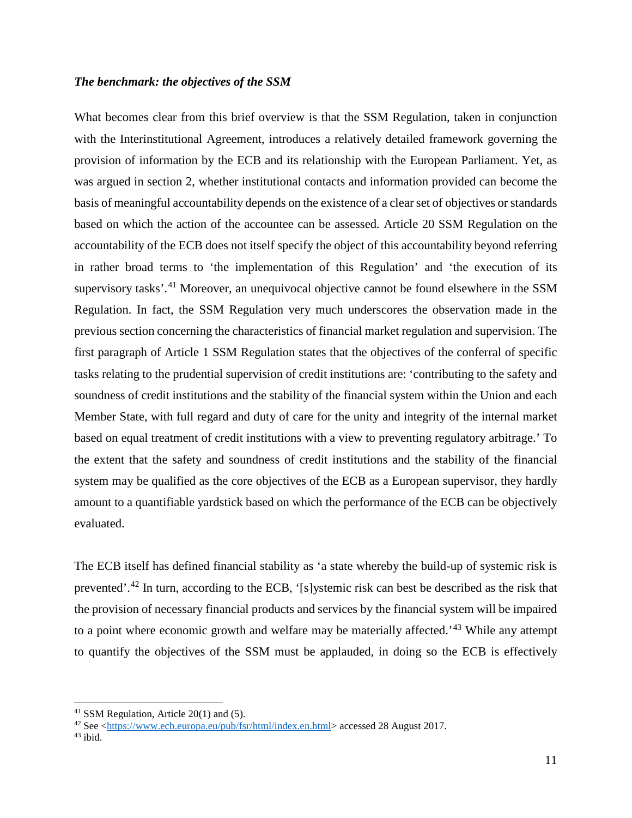#### *The benchmark: the objectives of the SSM*

What becomes clear from this brief overview is that the SSM Regulation, taken in conjunction with the Interinstitutional Agreement, introduces a relatively detailed framework governing the provision of information by the ECB and its relationship with the European Parliament. Yet, as was argued in section 2, whether institutional contacts and information provided can become the basis of meaningful accountability depends on the existence of a clear set of objectives or standards based on which the action of the accountee can be assessed. Article 20 SSM Regulation on the accountability of the ECB does not itself specify the object of this accountability beyond referring in rather broad terms to 'the implementation of this Regulation' and 'the execution of its supervisory tasks'.<sup>[41](#page-12-0)</sup> Moreover, an unequivocal objective cannot be found elsewhere in the SSM Regulation. In fact, the SSM Regulation very much underscores the observation made in the previous section concerning the characteristics of financial market regulation and supervision. The first paragraph of Article 1 SSM Regulation states that the objectives of the conferral of specific tasks relating to the prudential supervision of credit institutions are: 'contributing to the safety and soundness of credit institutions and the stability of the financial system within the Union and each Member State, with full regard and duty of care for the unity and integrity of the internal market based on equal treatment of credit institutions with a view to preventing regulatory arbitrage.' To the extent that the safety and soundness of credit institutions and the stability of the financial system may be qualified as the core objectives of the ECB as a European supervisor, they hardly amount to a quantifiable yardstick based on which the performance of the ECB can be objectively evaluated.

The ECB itself has defined financial stability as 'a state whereby the build-up of systemic risk is prevented'.[42](#page-12-1) In turn, according to the ECB, '[s]ystemic risk can best be described as the risk that the provision of necessary financial products and services by the financial system will be impaired to a point where economic growth and welfare may be materially affected.<sup>[43](#page-12-2)</sup> While any attempt to quantify the objectives of the SSM must be applauded, in doing so the ECB is effectively

<span id="page-12-0"></span><sup>&</sup>lt;sup>41</sup> SSM Regulation, Article  $20(1)$  and (5).

<span id="page-12-1"></span><sup>42</sup> See [<https://www.ecb.europa.eu/pub/fsr/html/index.en.html>](https://www.ecb.europa.eu/pub/fsr/html/index.en.html) accessed 28 August 2017.

<span id="page-12-2"></span> $43$  ibid.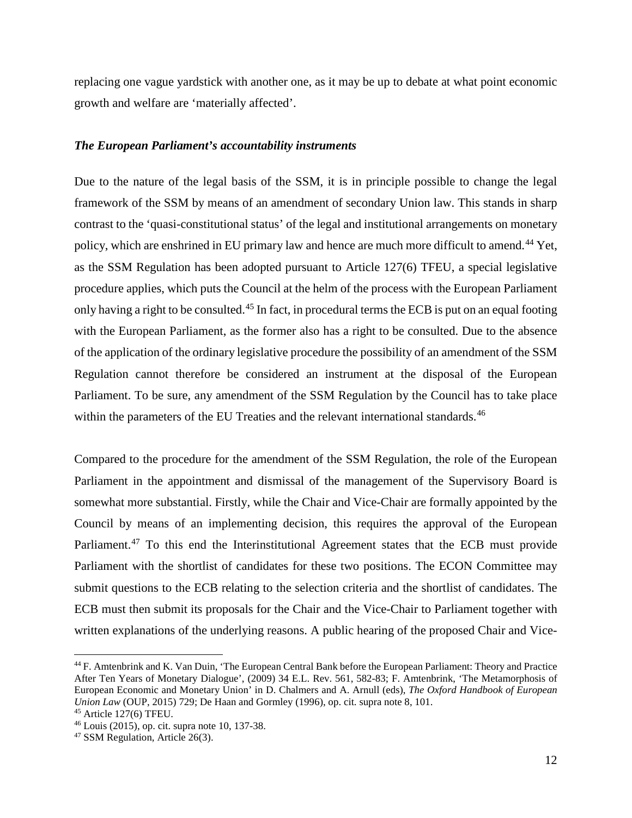replacing one vague yardstick with another one, as it may be up to debate at what point economic growth and welfare are 'materially affected'.

#### *The European Parliament's accountability instruments*

<span id="page-13-4"></span>Due to the nature of the legal basis of the SSM, it is in principle possible to change the legal framework of the SSM by means of an amendment of secondary Union law. This stands in sharp contrast to the 'quasi-constitutional status' of the legal and institutional arrangements on monetary policy, which are enshrined in EU primary law and hence are much more difficult to amend.<sup>[44](#page-13-0)</sup> Yet, as the SSM Regulation has been adopted pursuant to Article 127(6) TFEU, a special legislative procedure applies, which puts the Council at the helm of the process with the European Parliament only having a right to be consulted.<sup>[45](#page-13-1)</sup> In fact, in procedural terms the ECB is put on an equal footing with the European Parliament, as the former also has a right to be consulted. Due to the absence of the application of the ordinary legislative procedure the possibility of an amendment of the SSM Regulation cannot therefore be considered an instrument at the disposal of the European Parliament. To be sure, any amendment of the SSM Regulation by the Council has to take place within the parameters of the EU Treaties and the relevant international standards.<sup>[46](#page-13-2)</sup>

Compared to the procedure for the amendment of the SSM Regulation, the role of the European Parliament in the appointment and dismissal of the management of the Supervisory Board is somewhat more substantial. Firstly, while the Chair and Vice-Chair are formally appointed by the Council by means of an implementing decision, this requires the approval of the European Parliament.<sup>[47](#page-13-3)</sup> To this end the Interinstitutional Agreement states that the ECB must provide Parliament with the shortlist of candidates for these two positions. The ECON Committee may submit questions to the ECB relating to the selection criteria and the shortlist of candidates. The ECB must then submit its proposals for the Chair and the Vice-Chair to Parliament together with written explanations of the underlying reasons. A public hearing of the proposed Chair and Vice-

<span id="page-13-0"></span> <sup>44</sup> F. Amtenbrink and K. Van Duin, 'The European Central Bank before the European Parliament: Theory and Practice After Ten Years of Monetary Dialogue', (2009) 34 E.L. Rev. 561, 582-83; F. Amtenbrink, 'The Metamorphosis of European Economic and Monetary Union' in D. Chalmers and A. Arnull (eds), *The Oxford Handbook of European Union Law* (OUP, 2015) 729; De Haan and Gormley (1996), op. cit. supra note [8,](#page-4-3) 101.

<span id="page-13-1"></span><sup>45</sup> Article 127(6) TFEU.

<span id="page-13-2"></span><sup>46</sup> Louis (2015), op. cit. supra note [10,](#page-5-3) 137-38.

<span id="page-13-3"></span><sup>47</sup> SSM Regulation, Article 26(3).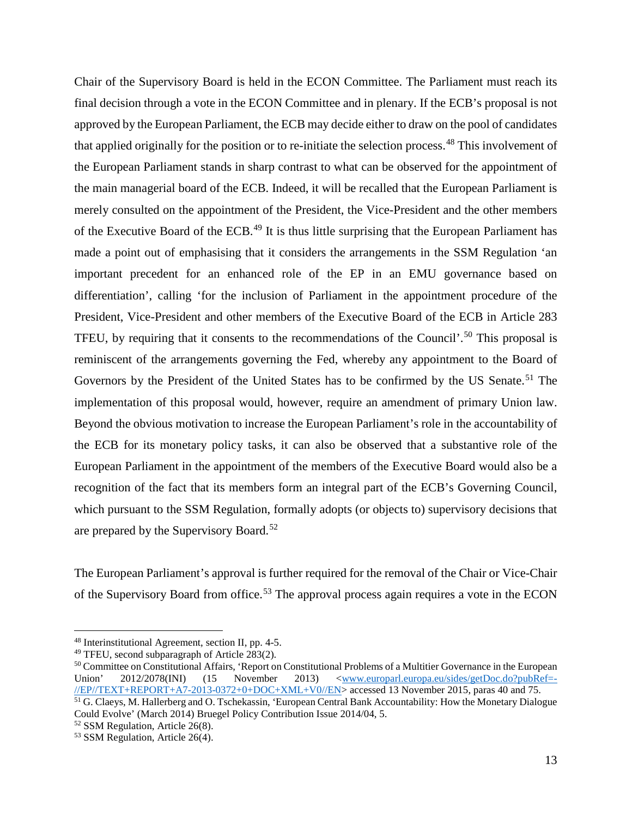Chair of the Supervisory Board is held in the ECON Committee. The Parliament must reach its final decision through a vote in the ECON Committee and in plenary. If the ECB's proposal is not approved by the European Parliament, the ECB may decide either to draw on the pool of candidates that applied originally for the position or to re-initiate the selection process.[48](#page-14-0) This involvement of the European Parliament stands in sharp contrast to what can be observed for the appointment of the main managerial board of the ECB. Indeed, it will be recalled that the European Parliament is merely consulted on the appointment of the President, the Vice-President and the other members of the Executive Board of the ECB.[49](#page-14-1) It is thus little surprising that the European Parliament has made a point out of emphasising that it considers the arrangements in the SSM Regulation 'an important precedent for an enhanced role of the EP in an EMU governance based on differentiation', calling 'for the inclusion of Parliament in the appointment procedure of the President, Vice-President and other members of the Executive Board of the ECB in Article 283 TFEU, by requiring that it consents to the recommendations of the Council'.<sup>[50](#page-14-2)</sup> This proposal is reminiscent of the arrangements governing the Fed, whereby any appointment to the Board of Governors by the President of the United States has to be confirmed by the US Senate.<sup>[51](#page-14-3)</sup> The implementation of this proposal would, however, require an amendment of primary Union law. Beyond the obvious motivation to increase the European Parliament's role in the accountability of the ECB for its monetary policy tasks, it can also be observed that a substantive role of the European Parliament in the appointment of the members of the Executive Board would also be a recognition of the fact that its members form an integral part of the ECB's Governing Council, which pursuant to the SSM Regulation, formally adopts (or objects to) supervisory decisions that are prepared by the Supervisory Board.<sup>[52](#page-14-4)</sup>

The European Parliament's approval is further required for the removal of the Chair or Vice-Chair of the Supervisory Board from office.<sup>[53](#page-14-5)</sup> The approval process again requires a vote in the ECON

<span id="page-14-0"></span> <sup>48</sup> Interinstitutional Agreement, section II, pp. 4-5.

<span id="page-14-1"></span> $49$  TFEU, second subparagraph of Article 283(2).

<span id="page-14-2"></span><sup>50</sup> Committee on Constitutional Affairs, 'Report on Constitutional Problems of a Multitier Governance in the European Union' 2012/2078(INI) (15 November 2013) <www.europarl.europa.eu/sides/getDoc.do?pubRef=-//EP//TEXT+REPORT+A7-2013-0372+0+DOC+XML+V0//EN> accessed 13 November 2015, paras 40 and 75.

<span id="page-14-3"></span><sup>&</sup>lt;sup>51</sup> G. Claeys, M. Hallerberg and O. Tschekassin, 'European Central Bank Accountability: How the Monetary Dialogue Could Evolve' (March 2014) Bruegel Policy Contribution Issue 2014/04, 5.

<span id="page-14-4"></span><sup>52</sup> SSM Regulation, Article 26(8).

<span id="page-14-5"></span><sup>53</sup> SSM Regulation, Article 26(4).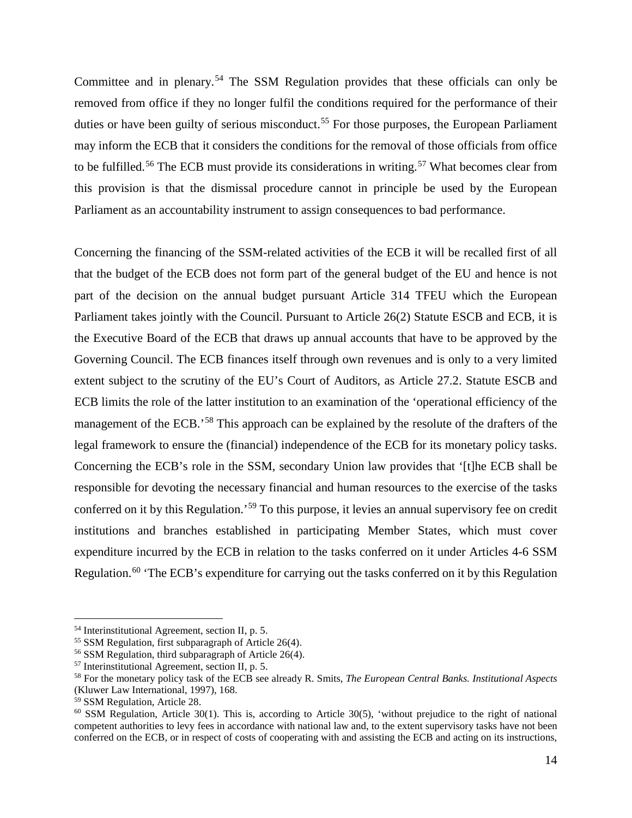Committee and in plenary.<sup>[54](#page-15-0)</sup> The SSM Regulation provides that these officials can only be removed from office if they no longer fulfil the conditions required for the performance of their duties or have been guilty of serious misconduct.<sup>[55](#page-15-1)</sup> For those purposes, the European Parliament may inform the ECB that it considers the conditions for the removal of those officials from office to be fulfilled.<sup>[56](#page-15-2)</sup> The ECB must provide its considerations in writing.<sup>[57](#page-15-3)</sup> What becomes clear from this provision is that the dismissal procedure cannot in principle be used by the European Parliament as an accountability instrument to assign consequences to bad performance.

Concerning the financing of the SSM-related activities of the ECB it will be recalled first of all that the budget of the ECB does not form part of the general budget of the EU and hence is not part of the decision on the annual budget pursuant Article 314 TFEU which the European Parliament takes jointly with the Council. Pursuant to Article 26(2) Statute ESCB and ECB, it is the Executive Board of the ECB that draws up annual accounts that have to be approved by the Governing Council. The ECB finances itself through own revenues and is only to a very limited extent subject to the scrutiny of the EU's Court of Auditors, as Article 27.2. Statute ESCB and ECB limits the role of the latter institution to an examination of the 'operational efficiency of the management of the ECB.<sup>[58](#page-15-4)</sup> This approach can be explained by the resolute of the drafters of the legal framework to ensure the (financial) independence of the ECB for its monetary policy tasks. Concerning the ECB's role in the SSM, secondary Union law provides that '[t]he ECB shall be responsible for devoting the necessary financial and human resources to the exercise of the tasks conferred on it by this Regulation.'[59](#page-15-5) To this purpose, it levies an annual supervisory fee on credit institutions and branches established in participating Member States, which must cover expenditure incurred by the ECB in relation to the tasks conferred on it under Articles 4-6 SSM Regulation.<sup>[60](#page-15-6)</sup> 'The ECB's expenditure for carrying out the tasks conferred on it by this Regulation

<span id="page-15-0"></span> <sup>54</sup> Interinstitutional Agreement, section II, p. 5.

<span id="page-15-1"></span><sup>55</sup> SSM Regulation, first subparagraph of Article 26(4).

<span id="page-15-2"></span><sup>&</sup>lt;sup>56</sup> SSM Regulation, third subparagraph of Article 26(4).

<span id="page-15-3"></span><sup>57</sup> Interinstitutional Agreement, section II, p. 5.

<span id="page-15-4"></span><sup>58</sup> For the monetary policy task of the ECB see already R. Smits, *The European Central Banks. Institutional Aspects*  (Kluwer Law International, 1997), 168.

<span id="page-15-5"></span><sup>59</sup> SSM Regulation, Article 28.

<span id="page-15-6"></span> $60$  SSM Regulation, Article 30(1). This is, according to Article 30(5), 'without prejudice to the right of national competent authorities to levy fees in accordance with national law and, to the extent supervisory tasks have not been conferred on the ECB, or in respect of costs of cooperating with and assisting the ECB and acting on its instructions,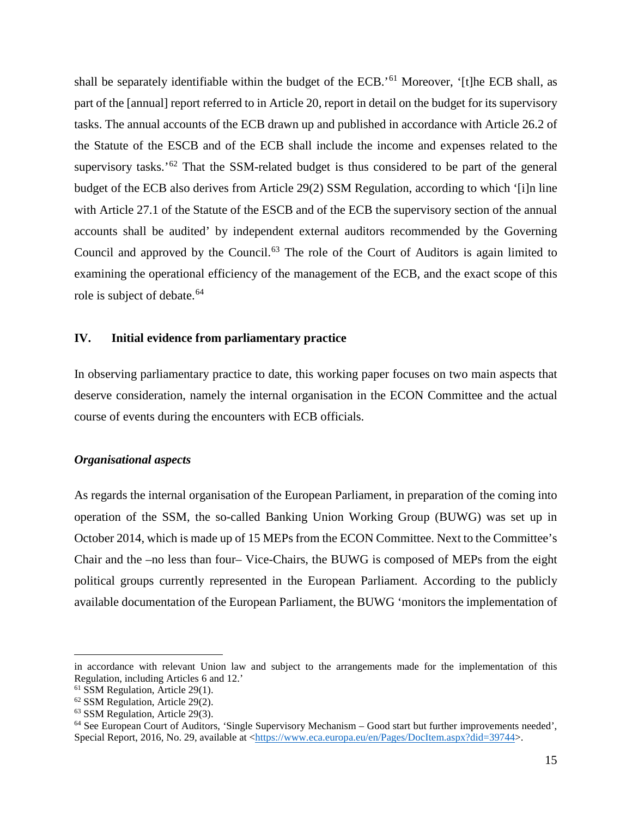shall be separately identifiable within the budget of the ECB.'[61](#page-16-0) Moreover, '[t]he ECB shall, as part of the [annual] report referred to in Article 20, report in detail on the budget for its supervisory tasks. The annual accounts of the ECB drawn up and published in accordance with Article 26.2 of the Statute of the ESCB and of the ECB shall include the income and expenses related to the supervisory tasks.<sup>'[62](#page-16-1)</sup> That the SSM-related budget is thus considered to be part of the general budget of the ECB also derives from Article 29(2) SSM Regulation, according to which '[i]n line with Article 27.1 of the Statute of the ESCB and of the ECB the supervisory section of the annual accounts shall be audited' by independent external auditors recommended by the Governing Council and approved by the Council.<sup>[63](#page-16-2)</sup> The role of the Court of Auditors is again limited to examining the operational efficiency of the management of the ECB, and the exact scope of this role is subject of debate.<sup>[64](#page-16-3)</sup>

#### **IV. Initial evidence from parliamentary practice**

In observing parliamentary practice to date, this working paper focuses on two main aspects that deserve consideration, namely the internal organisation in the ECON Committee and the actual course of events during the encounters with ECB officials.

#### *Organisational aspects*

As regards the internal organisation of the European Parliament, in preparation of the coming into operation of the SSM, the so-called Banking Union Working Group (BUWG) was set up in October 2014, which is made up of 15 MEPs from the ECON Committee. Next to the Committee's Chair and the –no less than four– Vice-Chairs, the BUWG is composed of MEPs from the eight political groups currently represented in the European Parliament. According to the publicly available documentation of the European Parliament, the BUWG 'monitors the implementation of

in accordance with relevant Union law and subject to the arrangements made for the implementation of this Regulation, including Articles 6 and 12.'

<span id="page-16-0"></span><sup>61</sup> SSM Regulation, Article 29(1).

<span id="page-16-1"></span><sup>62</sup> SSM Regulation, Article 29(2).

<span id="page-16-2"></span><sup>63</sup> SSM Regulation, Article 29(3).

<span id="page-16-3"></span> $64$  See European Court of Auditors, 'Single Supervisory Mechanism – Good start but further improvements needed', Special Report, 2016, No. 29, available at [<https://www.eca.europa.eu/en/Pages/DocItem.aspx?did=39744>](https://www.eca.europa.eu/en/Pages/DocItem.aspx?did=39744).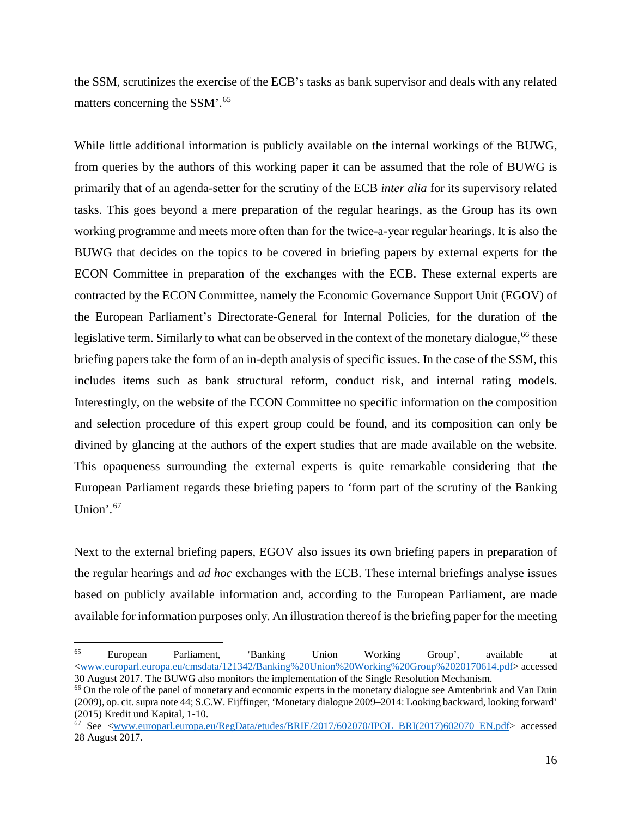the SSM, scrutinizes the exercise of the ECB's tasks as bank supervisor and deals with any related matters concerning the SSM'.<sup>[65](#page-17-0)</sup>

While little additional information is publicly available on the internal workings of the BUWG, from queries by the authors of this working paper it can be assumed that the role of BUWG is primarily that of an agenda-setter for the scrutiny of the ECB *inter alia* for its supervisory related tasks. This goes beyond a mere preparation of the regular hearings, as the Group has its own working programme and meets more often than for the twice-a-year regular hearings. It is also the BUWG that decides on the topics to be covered in briefing papers by external experts for the ECON Committee in preparation of the exchanges with the ECB. These external experts are contracted by the ECON Committee, namely the Economic Governance Support Unit (EGOV) of the European Parliament's Directorate-General for Internal Policies, for the duration of the legislative term. Similarly to what can be observed in the context of the monetary dialogue,  $66$  these briefing papers take the form of an in-depth analysis of specific issues. In the case of the SSM, this includes items such as bank structural reform, conduct risk, and internal rating models. Interestingly, on the website of the ECON Committee no specific information on the composition and selection procedure of this expert group could be found, and its composition can only be divined by glancing at the authors of the expert studies that are made available on the website. This opaqueness surrounding the external experts is quite remarkable considering that the European Parliament regards these briefing papers to 'form part of the scrutiny of the Banking Union'.[67](#page-17-2)

Next to the external briefing papers, EGOV also issues its own briefing papers in preparation of the regular hearings and *ad hoc* exchanges with the ECB. These internal briefings analyse issues based on publicly available information and, according to the European Parliament, are made available for information purposes only. An illustration thereof is the briefing paper for the meeting

<span id="page-17-0"></span> <sup>65</sup> European Parliament, 'Banking Union Working Group', available at [<www.europarl.europa.eu/cmsdata/121342/Banking%20Union%20Working%20Group%2020170614.pdf>](http://www.europarl.europa.eu/cmsdata/121342/Banking%20Union%20Working%20Group%2020170614.pdf) accessed 30 August 2017. The BUWG also monitors the implementation of the Single Resolution Mechanism.

<span id="page-17-1"></span><sup>&</sup>lt;sup>66</sup> On the role of the panel of monetary and economic experts in the monetary dialogue see Amtenbrink and Van Duin (2009), op. cit. supra not[e 44;](#page-13-4) S.C.W. Eijffinger, 'Monetary dialogue 2009–2014: Looking backward, looking forward' (2015) Kredit und Kapital, 1-10.

<span id="page-17-2"></span><sup>67</sup> See <www.europarl.europa.eu/RegData/etudes/BRIE/2017/602070/IPOL\_BRI(2017)602070\_EN.pdf> accessed 28 August 2017.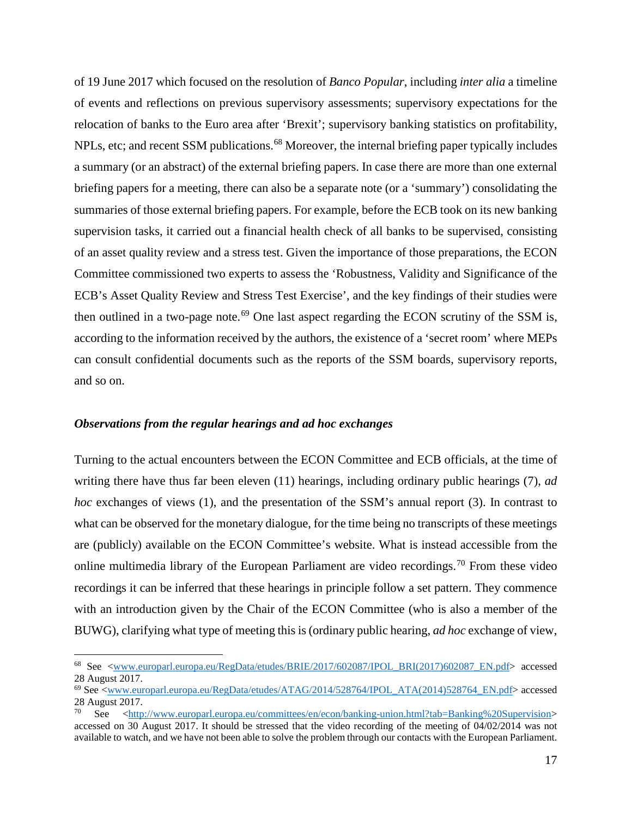of 19 June 2017 which focused on the resolution of *Banco Popular*, including *inter alia* a timeline of events and reflections on previous supervisory assessments; supervisory expectations for the relocation of banks to the Euro area after 'Brexit'; supervisory banking statistics on profitability, NPLs, etc; and recent SSM publications.<sup>[68](#page-18-0)</sup> Moreover, the internal briefing paper typically includes a summary (or an abstract) of the external briefing papers. In case there are more than one external briefing papers for a meeting, there can also be a separate note (or a 'summary') consolidating the summaries of those external briefing papers. For example, before the ECB took on its new banking supervision tasks, it carried out a financial health check of all banks to be supervised, consisting of an asset quality review and a stress test. Given the importance of those preparations, the ECON Committee commissioned two experts to assess the 'Robustness, Validity and Significance of the ECB's Asset Quality Review and Stress Test Exercise', and the key findings of their studies were then outlined in a two-page note.<sup>[69](#page-18-1)</sup> One last aspect regarding the ECON scrutiny of the SSM is, according to the information received by the authors, the existence of a 'secret room' where MEPs can consult confidential documents such as the reports of the SSM boards, supervisory reports, and so on.

#### *Observations from the regular hearings and ad hoc exchanges*

Turning to the actual encounters between the ECON Committee and ECB officials, at the time of writing there have thus far been eleven (11) hearings, including ordinary public hearings (7), *ad hoc* exchanges of views (1), and the presentation of the SSM's annual report (3). In contrast to what can be observed for the monetary dialogue, for the time being no transcripts of these meetings are (publicly) available on the ECON Committee's website. What is instead accessible from the online multimedia library of the European Parliament are video recordings.<sup>[70](#page-18-2)</sup> From these video recordings it can be inferred that these hearings in principle follow a set pattern. They commence with an introduction given by the Chair of the ECON Committee (who is also a member of the BUWG), clarifying what type of meeting this is (ordinary public hearing, *ad hoc* exchange of view,

<span id="page-18-0"></span> <sup>68</sup> See <www.europarl.europa.eu/RegData/etudes/BRIE/2017/602087/IPOL\_BRI(2017)602087\_EN.pdf> accessed 28 August 2017.

<span id="page-18-1"></span><sup>69</sup> See <www.europarl.europa.eu/RegData/etudes/ATAG/2014/528764/IPOL\_ATA(2014)528764\_EN.pdf> accessed 28 August 2017.<br> $70$  See chttp:

<span id="page-18-2"></span><sup>70</sup> See [<http://www.europarl.europa.eu/committees/en/econ/banking-union.html?tab=Banking%20Supervision>](http://www.europarl.europa.eu/committees/en/econ/banking-union.html?tab=Banking%20Supervision) accessed on 30 August 2017. It should be stressed that the video recording of the meeting of 04/02/2014 was not available to watch, and we have not been able to solve the problem through our contacts with the European Parliament.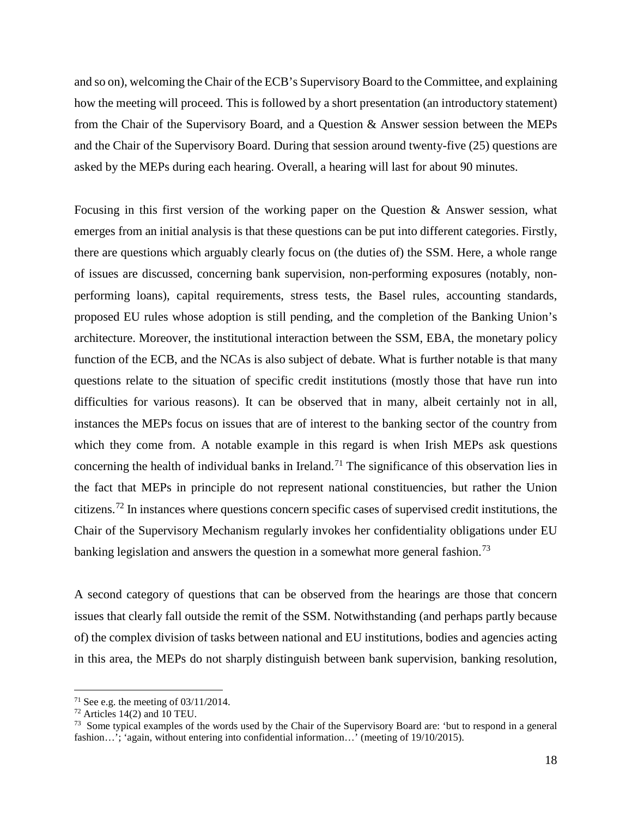and so on), welcoming the Chair of the ECB's Supervisory Board to the Committee, and explaining how the meeting will proceed. This is followed by a short presentation (an introductory statement) from the Chair of the Supervisory Board, and a Question & Answer session between the MEPs and the Chair of the Supervisory Board. During that session around twenty-five (25) questions are asked by the MEPs during each hearing. Overall, a hearing will last for about 90 minutes.

Focusing in this first version of the working paper on the Question & Answer session, what emerges from an initial analysis is that these questions can be put into different categories. Firstly, there are questions which arguably clearly focus on (the duties of) the SSM. Here, a whole range of issues are discussed, concerning bank supervision, non-performing exposures (notably, nonperforming loans), capital requirements, stress tests, the Basel rules, accounting standards, proposed EU rules whose adoption is still pending, and the completion of the Banking Union's architecture. Moreover, the institutional interaction between the SSM, EBA, the monetary policy function of the ECB, and the NCAs is also subject of debate. What is further notable is that many questions relate to the situation of specific credit institutions (mostly those that have run into difficulties for various reasons). It can be observed that in many, albeit certainly not in all, instances the MEPs focus on issues that are of interest to the banking sector of the country from which they come from. A notable example in this regard is when Irish MEPs ask questions concerning the health of individual banks in Ireland.<sup>[71](#page-19-0)</sup> The significance of this observation lies in the fact that MEPs in principle do not represent national constituencies, but rather the Union citizens.[72](#page-19-1) In instances where questions concern specific cases of supervised credit institutions, the Chair of the Supervisory Mechanism regularly invokes her confidentiality obligations under EU banking legislation and answers the question in a somewhat more general fashion.<sup>[73](#page-19-2)</sup>

A second category of questions that can be observed from the hearings are those that concern issues that clearly fall outside the remit of the SSM. Notwithstanding (and perhaps partly because of) the complex division of tasks between national and EU institutions, bodies and agencies acting in this area, the MEPs do not sharply distinguish between bank supervision, banking resolution,

<span id="page-19-0"></span><sup>&</sup>lt;sup>71</sup> See e.g. the meeting of  $03/11/2014$ .

<span id="page-19-1"></span> $72$  Articles 14(2) and 10 TEU.

<span id="page-19-2"></span> $73$  Some typical examples of the words used by the Chair of the Supervisory Board are: 'but to respond in a general fashion…'; 'again, without entering into confidential information...' (meeting of 19/10/2015).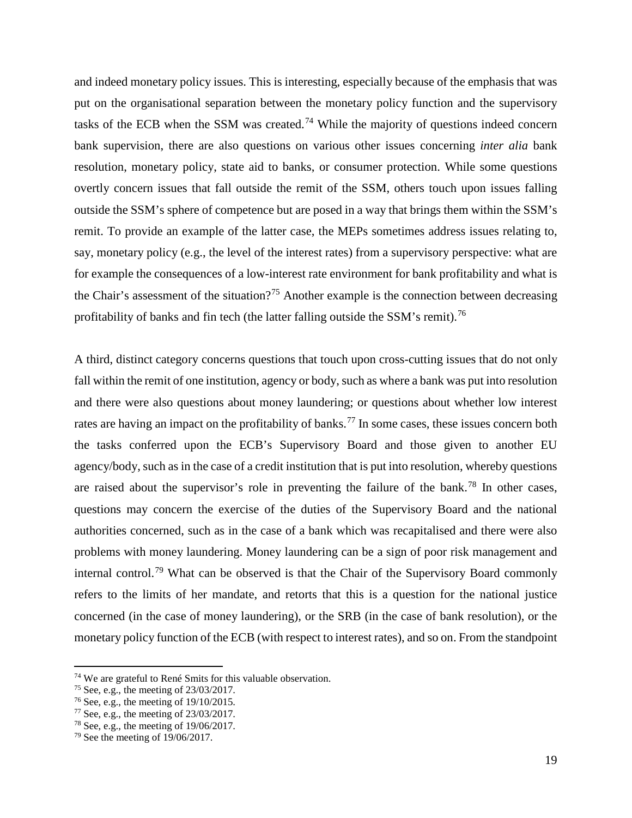and indeed monetary policy issues. This is interesting, especially because of the emphasis that was put on the organisational separation between the monetary policy function and the supervisory tasks of the ECB when the SSM was created.<sup>[74](#page-20-0)</sup> While the majority of questions indeed concern bank supervision, there are also questions on various other issues concerning *inter alia* bank resolution, monetary policy, state aid to banks, or consumer protection. While some questions overtly concern issues that fall outside the remit of the SSM, others touch upon issues falling outside the SSM's sphere of competence but are posed in a way that brings them within the SSM's remit. To provide an example of the latter case, the MEPs sometimes address issues relating to, say, monetary policy (e.g., the level of the interest rates) from a supervisory perspective: what are for example the consequences of a low-interest rate environment for bank profitability and what is the Chair's assessment of the situation?<sup>[75](#page-20-1)</sup> Another example is the connection between decreasing profitability of banks and fin tech (the latter falling outside the SSM's remit).<sup>[76](#page-20-2)</sup>

A third, distinct category concerns questions that touch upon cross-cutting issues that do not only fall within the remit of one institution, agency or body, such as where a bank was put into resolution and there were also questions about money laundering; or questions about whether low interest rates are having an impact on the profitability of banks.<sup>[77](#page-20-3)</sup> In some cases, these issues concern both the tasks conferred upon the ECB's Supervisory Board and those given to another EU agency/body, such as in the case of a credit institution that is put into resolution, whereby questions are raised about the supervisor's role in preventing the failure of the bank.[78](#page-20-4) In other cases, questions may concern the exercise of the duties of the Supervisory Board and the national authorities concerned, such as in the case of a bank which was recapitalised and there were also problems with money laundering. Money laundering can be a sign of poor risk management and internal control.<sup>[79](#page-20-5)</sup> What can be observed is that the Chair of the Supervisory Board commonly refers to the limits of her mandate, and retorts that this is a question for the national justice concerned (in the case of money laundering), or the SRB (in the case of bank resolution), or the monetary policy function of the ECB (with respect to interest rates), and so on. From the standpoint

<span id="page-20-0"></span> <sup>74</sup> We are grateful to René Smits for this valuable observation.

<span id="page-20-1"></span><sup>75</sup> See, e.g., the meeting of 23/03/2017.

<span id="page-20-2"></span><sup>76</sup> See, e.g., the meeting of 19/10/2015.

<span id="page-20-3"></span><sup>77</sup> See, e.g., the meeting of 23/03/2017.

<span id="page-20-4"></span><sup>78</sup> See, e.g., the meeting of 19/06/2017.

<span id="page-20-5"></span><sup>79</sup> See the meeting of 19/06/2017.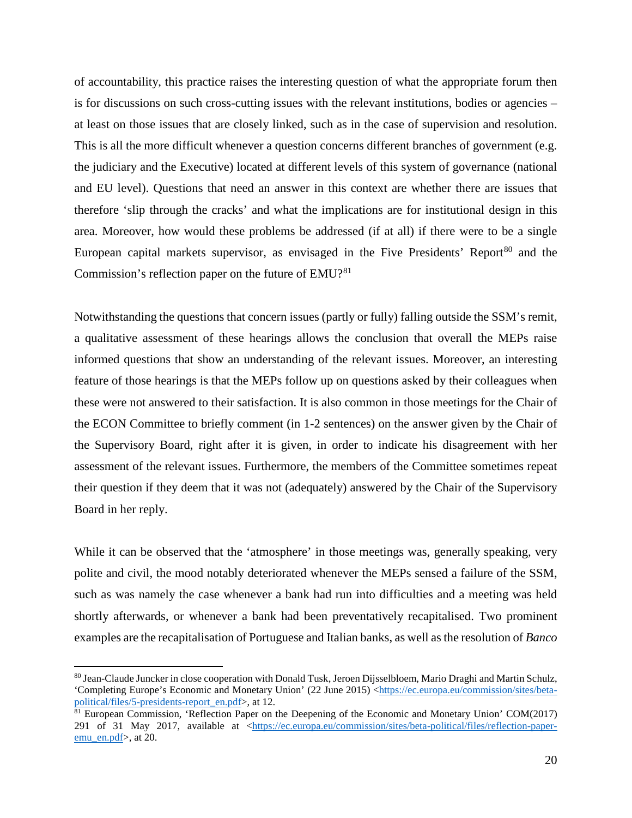of accountability, this practice raises the interesting question of what the appropriate forum then is for discussions on such cross-cutting issues with the relevant institutions, bodies or agencies – at least on those issues that are closely linked, such as in the case of supervision and resolution. This is all the more difficult whenever a question concerns different branches of government (e.g. the judiciary and the Executive) located at different levels of this system of governance (national and EU level). Questions that need an answer in this context are whether there are issues that therefore 'slip through the cracks' and what the implications are for institutional design in this area. Moreover, how would these problems be addressed (if at all) if there were to be a single European capital markets supervisor, as envisaged in the Five Presidents' Report<sup>[80](#page-21-0)</sup> and the Commission's reflection paper on the future of  $EMU$ ?<sup>[81](#page-21-1)</sup>

Notwithstanding the questions that concern issues (partly or fully) falling outside the SSM's remit, a qualitative assessment of these hearings allows the conclusion that overall the MEPs raise informed questions that show an understanding of the relevant issues. Moreover, an interesting feature of those hearings is that the MEPs follow up on questions asked by their colleagues when these were not answered to their satisfaction. It is also common in those meetings for the Chair of the ECON Committee to briefly comment (in 1-2 sentences) on the answer given by the Chair of the Supervisory Board, right after it is given, in order to indicate his disagreement with her assessment of the relevant issues. Furthermore, the members of the Committee sometimes repeat their question if they deem that it was not (adequately) answered by the Chair of the Supervisory Board in her reply.

While it can be observed that the 'atmosphere' in those meetings was, generally speaking, very polite and civil, the mood notably deteriorated whenever the MEPs sensed a failure of the SSM, such as was namely the case whenever a bank had run into difficulties and a meeting was held shortly afterwards, or whenever a bank had been preventatively recapitalised. Two prominent examples are the recapitalisation of Portuguese and Italian banks, as well as the resolution of *Banco* 

<span id="page-21-0"></span> <sup>80</sup> Jean-Claude Juncker in close cooperation with Donald Tusk, Jeroen Dijsselbloem, Mario Draghi and Martin Schulz, 'Completing Europe's Economic and Monetary Union' (22 June 2015) [<https://ec.europa.eu/commission/sites/beta](https://ec.europa.eu/commission/sites/beta-political/files/5-presidents-report_en.pdf)[political/files/5-presidents-report\\_en.pdf>](https://ec.europa.eu/commission/sites/beta-political/files/5-presidents-report_en.pdf), at 12.

<span id="page-21-1"></span> $81$  European Commission, 'Reflection Paper on the Deepening of the Economic and Monetary Union' COM(2017) 291 of 31 May 2017, available at [<https://ec.europa.eu/commission/sites/beta-political/files/reflection-paper](https://ec.europa.eu/commission/sites/beta-political/files/reflection-paper-emu_en.pdf)[emu\\_en.pdf>](https://ec.europa.eu/commission/sites/beta-political/files/reflection-paper-emu_en.pdf), at 20.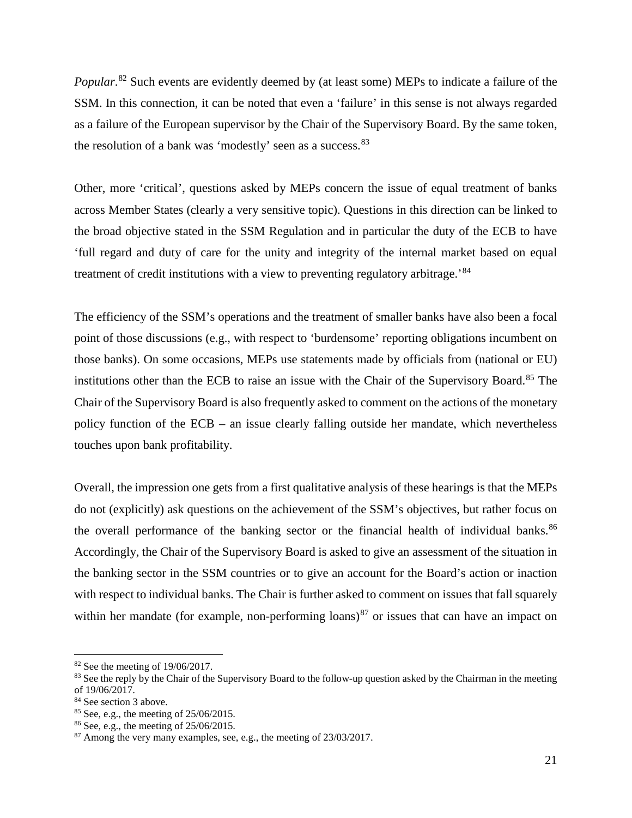*Popular*. [82](#page-22-0) Such events are evidently deemed by (at least some) MEPs to indicate a failure of the SSM. In this connection, it can be noted that even a 'failure' in this sense is not always regarded as a failure of the European supervisor by the Chair of the Supervisory Board. By the same token, the resolution of a bank was 'modestly' seen as a success. $83$ 

Other, more 'critical', questions asked by MEPs concern the issue of equal treatment of banks across Member States (clearly a very sensitive topic). Questions in this direction can be linked to the broad objective stated in the SSM Regulation and in particular the duty of the ECB to have 'full regard and duty of care for the unity and integrity of the internal market based on equal treatment of credit institutions with a view to preventing regulatory arbitrage.<sup>[84](#page-22-2)</sup>

The efficiency of the SSM's operations and the treatment of smaller banks have also been a focal point of those discussions (e.g., with respect to 'burdensome' reporting obligations incumbent on those banks). On some occasions, MEPs use statements made by officials from (national or EU) institutions other than the ECB to raise an issue with the Chair of the Supervisory Board.<sup>[85](#page-22-3)</sup> The Chair of the Supervisory Board is also frequently asked to comment on the actions of the monetary policy function of the ECB – an issue clearly falling outside her mandate, which nevertheless touches upon bank profitability.

Overall, the impression one gets from a first qualitative analysis of these hearings is that the MEPs do not (explicitly) ask questions on the achievement of the SSM's objectives, but rather focus on the overall performance of the banking sector or the financial health of individual banks.<sup>[86](#page-22-4)</sup> Accordingly, the Chair of the Supervisory Board is asked to give an assessment of the situation in the banking sector in the SSM countries or to give an account for the Board's action or inaction with respect to individual banks. The Chair is further asked to comment on issues that fall squarely within her mandate (for example, non-performing loans)<sup>[87](#page-22-5)</sup> or issues that can have an impact on

<span id="page-22-0"></span> $82$  See the meeting of 19/06/2017.

<span id="page-22-1"></span><sup>&</sup>lt;sup>83</sup> See the reply by the Chair of the Supervisory Board to the follow-up question asked by the Chairman in the meeting of 19/06/2017.

<span id="page-22-2"></span><sup>&</sup>lt;sup>84</sup> See section 3 above.

<span id="page-22-3"></span> $85$  See, e.g., the meeting of  $25/06/2015$ .

<span id="page-22-4"></span> $86$  See, e.g., the meeting of  $25/06/2015$ .

<span id="page-22-5"></span><sup>&</sup>lt;sup>87</sup> Among the very many examples, see, e.g., the meeting of 23/03/2017.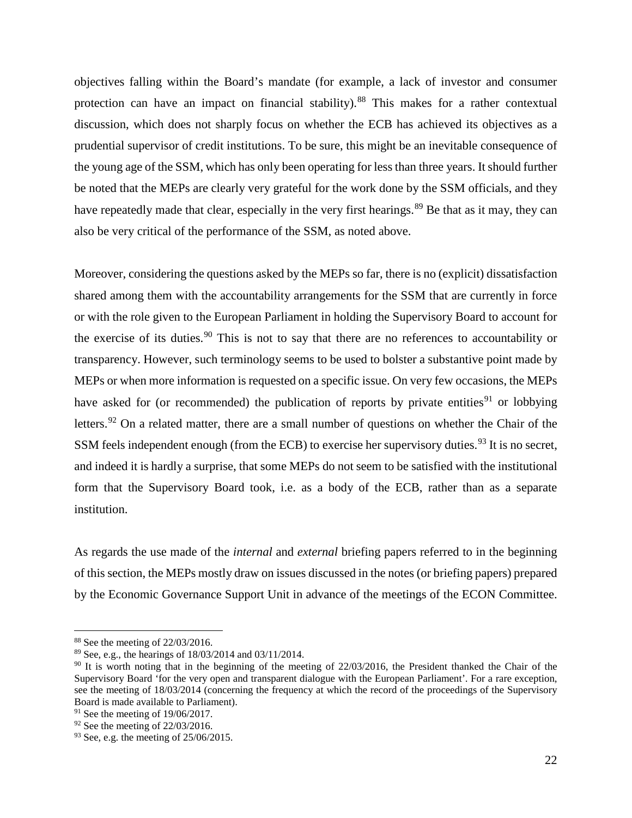objectives falling within the Board's mandate (for example, a lack of investor and consumer protection can have an impact on financial stability).[88](#page-23-0) This makes for a rather contextual discussion, which does not sharply focus on whether the ECB has achieved its objectives as a prudential supervisor of credit institutions. To be sure, this might be an inevitable consequence of the young age of the SSM, which has only been operating for less than three years. It should further be noted that the MEPs are clearly very grateful for the work done by the SSM officials, and they have repeatedly made that clear, especially in the very first hearings.<sup>[89](#page-23-1)</sup> Be that as it may, they can also be very critical of the performance of the SSM, as noted above.

Moreover, considering the questions asked by the MEPs so far, there is no (explicit) dissatisfaction shared among them with the accountability arrangements for the SSM that are currently in force or with the role given to the European Parliament in holding the Supervisory Board to account for the exercise of its duties.<sup>[90](#page-23-2)</sup> This is not to say that there are no references to accountability or transparency. However, such terminology seems to be used to bolster a substantive point made by MEPs or when more information is requested on a specific issue. On very few occasions, the MEPs have asked for (or recommended) the publication of reports by private entities<sup>[91](#page-23-3)</sup> or lobbying letters.<sup>[92](#page-23-4)</sup> On a related matter, there are a small number of questions on whether the Chair of the SSM feels independent enough (from the ECB) to exercise her supervisory duties.<sup>[93](#page-23-5)</sup> It is no secret, and indeed it is hardly a surprise, that some MEPs do not seem to be satisfied with the institutional form that the Supervisory Board took, i.e. as a body of the ECB, rather than as a separate institution.

As regards the use made of the *internal* and *external* briefing papers referred to in the beginning of this section, the MEPs mostly draw on issues discussed in the notes (or briefing papers) prepared by the Economic Governance Support Unit in advance of the meetings of the ECON Committee.

 <sup>88</sup> See the meeting of 22/03/2016.

<span id="page-23-1"></span><span id="page-23-0"></span><sup>89</sup> See, e.g., the hearings of 18/03/2014 and 03/11/2014.

<span id="page-23-2"></span> $90$  It is worth noting that in the beginning of the meeting of 22/03/2016, the President thanked the Chair of the Supervisory Board 'for the very open and transparent dialogue with the European Parliament'. For a rare exception, see the meeting of 18/03/2014 (concerning the frequency at which the record of the proceedings of the Supervisory Board is made available to Parliament).

<span id="page-23-3"></span> $91$  See the meeting of 19/06/2017.

<span id="page-23-4"></span> $92$  See the meeting of 22/03/2016.

<span id="page-23-5"></span><sup>93</sup> See, e.g. the meeting of 25/06/2015.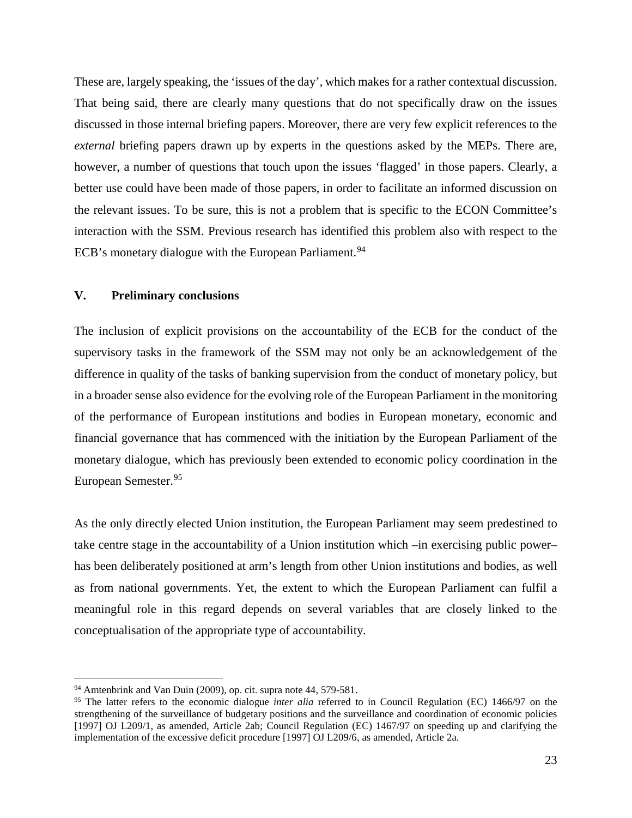These are, largely speaking, the 'issues of the day', which makes for a rather contextual discussion. That being said, there are clearly many questions that do not specifically draw on the issues discussed in those internal briefing papers. Moreover, there are very few explicit references to the *external* briefing papers drawn up by experts in the questions asked by the MEPs. There are, however, a number of questions that touch upon the issues 'flagged' in those papers. Clearly, a better use could have been made of those papers, in order to facilitate an informed discussion on the relevant issues. To be sure, this is not a problem that is specific to the ECON Committee's interaction with the SSM. Previous research has identified this problem also with respect to the ECB's monetary dialogue with the European Parliament.<sup>[94](#page-24-0)</sup>

#### **V. Preliminary conclusions**

The inclusion of explicit provisions on the accountability of the ECB for the conduct of the supervisory tasks in the framework of the SSM may not only be an acknowledgement of the difference in quality of the tasks of banking supervision from the conduct of monetary policy, but in a broader sense also evidence for the evolving role of the European Parliament in the monitoring of the performance of European institutions and bodies in European monetary, economic and financial governance that has commenced with the initiation by the European Parliament of the monetary dialogue, which has previously been extended to economic policy coordination in the European Semester.<sup>[95](#page-24-1)</sup>

As the only directly elected Union institution, the European Parliament may seem predestined to take centre stage in the accountability of a Union institution which –in exercising public power– has been deliberately positioned at arm's length from other Union institutions and bodies, as well as from national governments. Yet, the extent to which the European Parliament can fulfil a meaningful role in this regard depends on several variables that are closely linked to the conceptualisation of the appropriate type of accountability.

<span id="page-24-0"></span> $94$  Amtenbrink and Van Duin (2009), op. cit. supra note [44,](#page-13-4) 579-581.

<span id="page-24-1"></span><sup>95</sup> The latter refers to the economic dialogue *inter alia* referred to in Council Regulation (EC) 1466/97 on the strengthening of the surveillance of budgetary positions and the surveillance and coordination of economic policies [1997] OJ L209/1, as amended, Article 2ab; Council Regulation (EC) 1467/97 on speeding up and clarifying the implementation of the excessive deficit procedure [1997] OJ L209/6, as amended, Article 2a.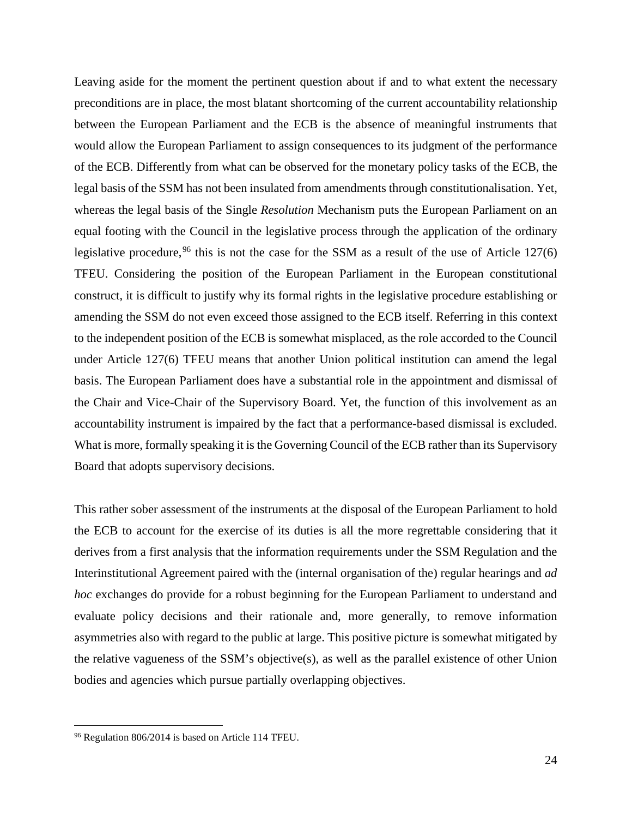Leaving aside for the moment the pertinent question about if and to what extent the necessary preconditions are in place, the most blatant shortcoming of the current accountability relationship between the European Parliament and the ECB is the absence of meaningful instruments that would allow the European Parliament to assign consequences to its judgment of the performance of the ECB. Differently from what can be observed for the monetary policy tasks of the ECB, the legal basis of the SSM has not been insulated from amendments through constitutionalisation. Yet, whereas the legal basis of the Single *Resolution* Mechanism puts the European Parliament on an equal footing with the Council in the legislative process through the application of the ordinary legislative procedure,  $96$  this is not the case for the SSM as a result of the use of Article 127(6) TFEU. Considering the position of the European Parliament in the European constitutional construct, it is difficult to justify why its formal rights in the legislative procedure establishing or amending the SSM do not even exceed those assigned to the ECB itself. Referring in this context to the independent position of the ECB is somewhat misplaced, as the role accorded to the Council under Article 127(6) TFEU means that another Union political institution can amend the legal basis. The European Parliament does have a substantial role in the appointment and dismissal of the Chair and Vice-Chair of the Supervisory Board. Yet, the function of this involvement as an accountability instrument is impaired by the fact that a performance-based dismissal is excluded. What is more, formally speaking it is the Governing Council of the ECB rather than its Supervisory Board that adopts supervisory decisions.

This rather sober assessment of the instruments at the disposal of the European Parliament to hold the ECB to account for the exercise of its duties is all the more regrettable considering that it derives from a first analysis that the information requirements under the SSM Regulation and the Interinstitutional Agreement paired with the (internal organisation of the) regular hearings and *ad hoc* exchanges do provide for a robust beginning for the European Parliament to understand and evaluate policy decisions and their rationale and, more generally, to remove information asymmetries also with regard to the public at large. This positive picture is somewhat mitigated by the relative vagueness of the SSM's objective(s), as well as the parallel existence of other Union bodies and agencies which pursue partially overlapping objectives.

<span id="page-25-0"></span><sup>&</sup>lt;sup>96</sup> Regulation 806/2014 is based on Article 114 TFEU.